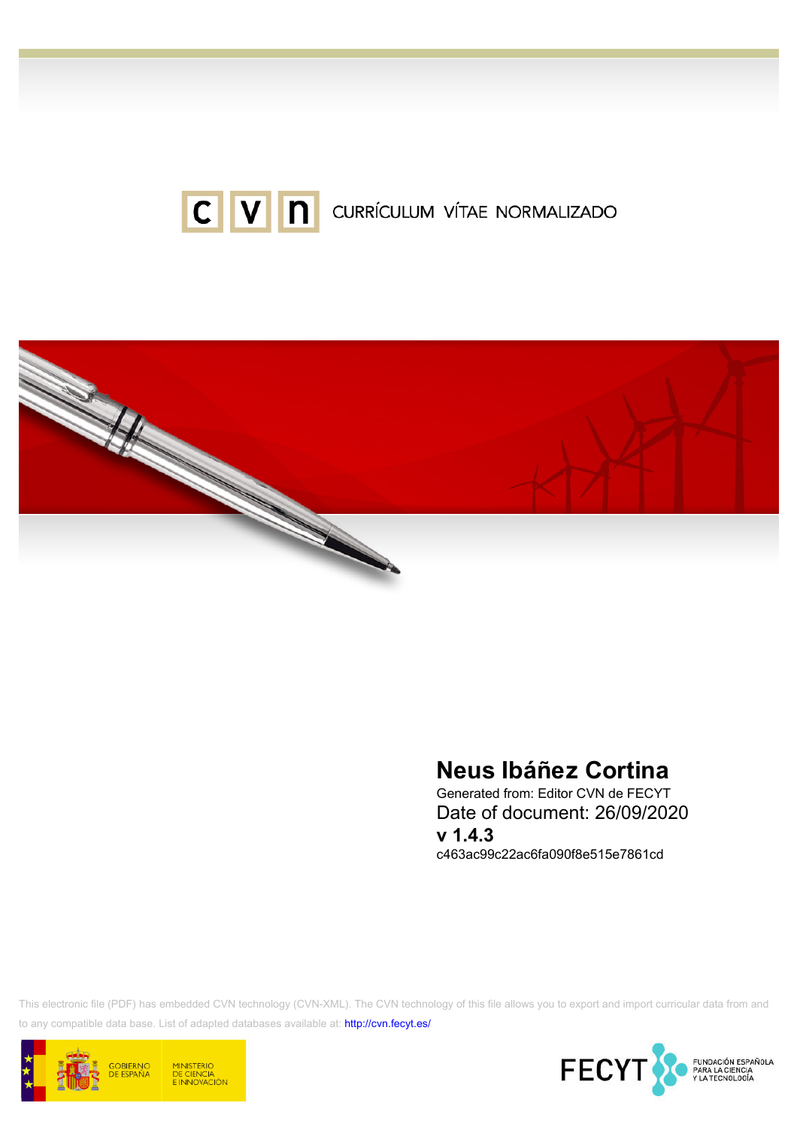



# Neus Ibáñez Cortina

Generated from: Editor CVN de FECYT Date of document: 26/09/2020 v 1.4.3 c463ac99c22ac6fa090f8e515e7861cd

This electronic file (PDF) has embedded CVN technology (CVN-XML). The CVN technology of this file allows you to export and import curricular data from and to any compatible data base. List of adapted databases available at:<http://cvn.fecyt.es/>



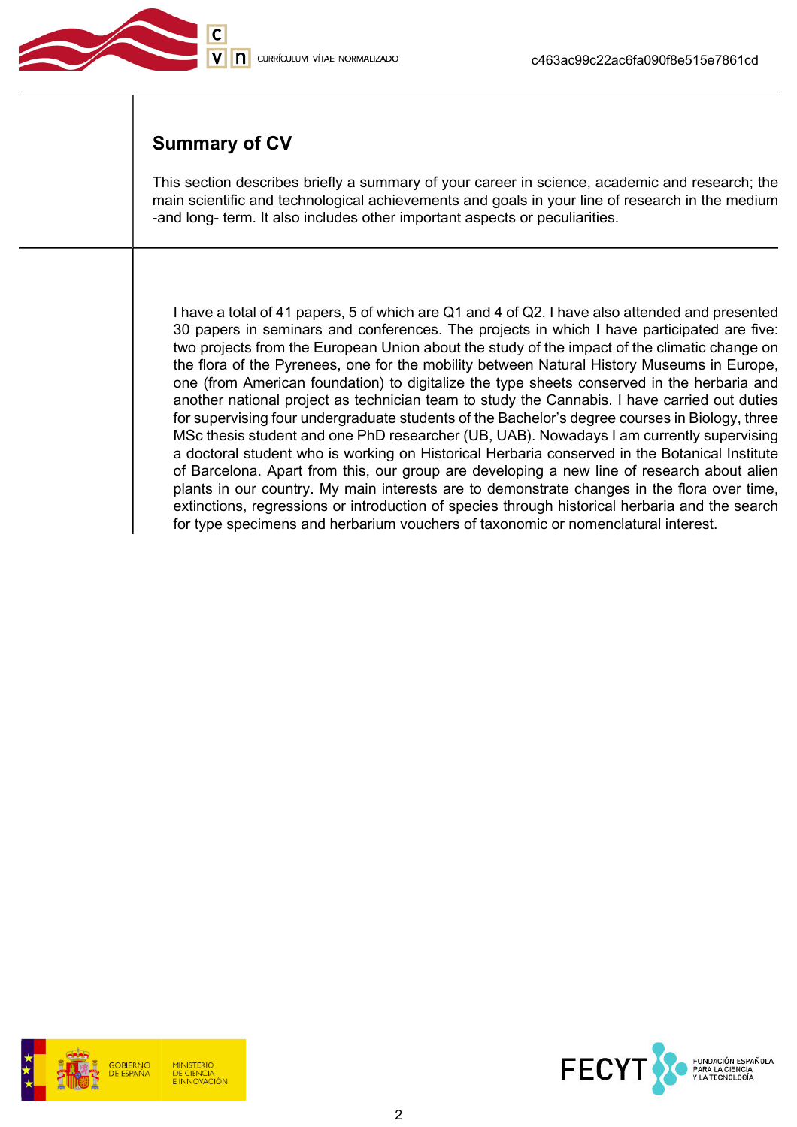

# Summary of CV

This section describes briefly a summary of your career in science, academic and research; the main scientific and technological achievements and goals in your line of research in the medium -and long- term. It also includes other important aspects or peculiarities.

I have a total of 41 papers, 5 of which are Q1 and 4 of Q2. I have also attended and presented 30 papers in seminars and conferences. The projects in which I have participated are five: two projects from the European Union about the study of the impact of the climatic change on the flora of the Pyrenees, one for the mobility between Natural History Museums in Europe, one (from American foundation) to digitalize the type sheets conserved in the herbaria and another national project as technician team to study the Cannabis. I have carried out duties for supervising four undergraduate students of the Bachelor's degree courses in Biology, three MSc thesis student and one PhD researcher (UB, UAB). Nowadays I am currently supervising a doctoral student who is working on Historical Herbaria conserved in the Botanical Institute of Barcelona. Apart from this, our group are developing a new line of research about alien plants in our country. My main interests are to demonstrate changes in the flora over time, extinctions, regressions or introduction of species through historical herbaria and the search for type specimens and herbarium vouchers of taxonomic or nomenclatural interest.

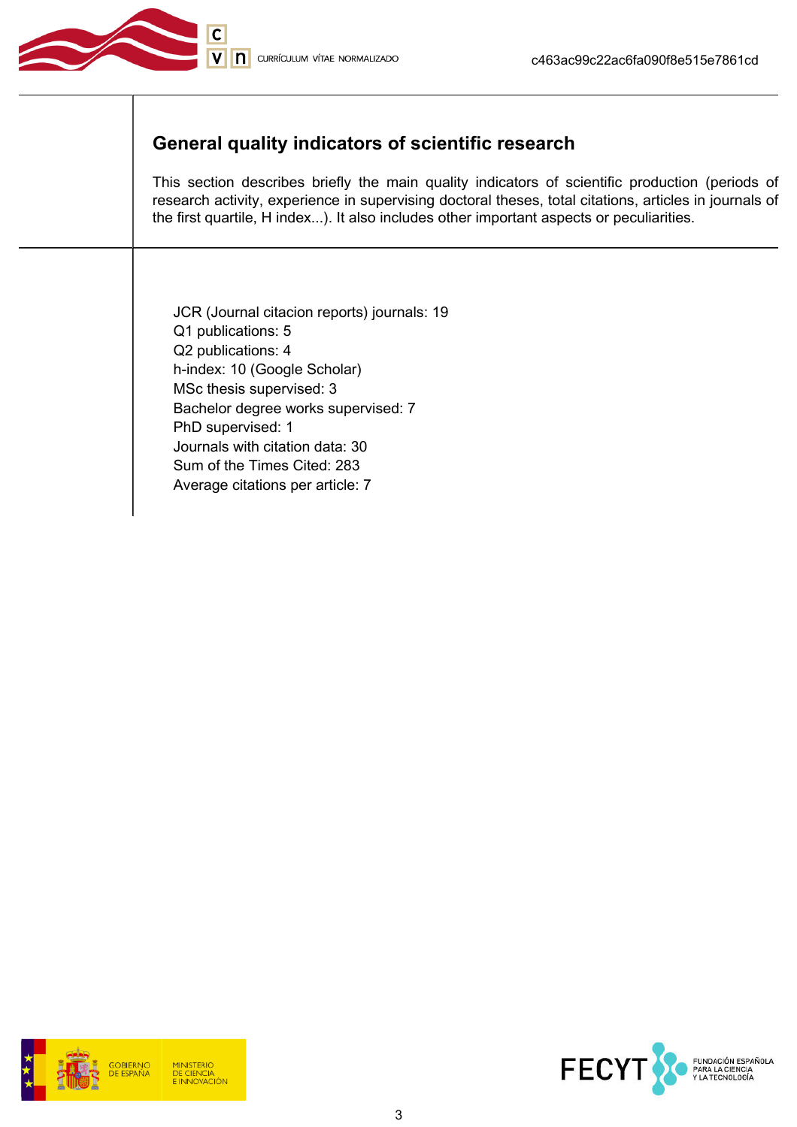

# General quality indicators of scientific research

This section describes briefly the main quality indicators of scientific production (periods of research activity, experience in supervising doctoral theses, total citations, articles in journals of the first quartile, H index...). It also includes other important aspects or peculiarities.

JCR (Journal citacion reports) journals: 19 Q1 publications: 5 Q2 publications: 4 h-index: 10 (Google Scholar) MSc thesis supervised: 3 Bachelor degree works supervised: 7 PhD supervised: 1 Journals with citation data: 30 Sum of the Times Cited: 283 Average citations per article: 7



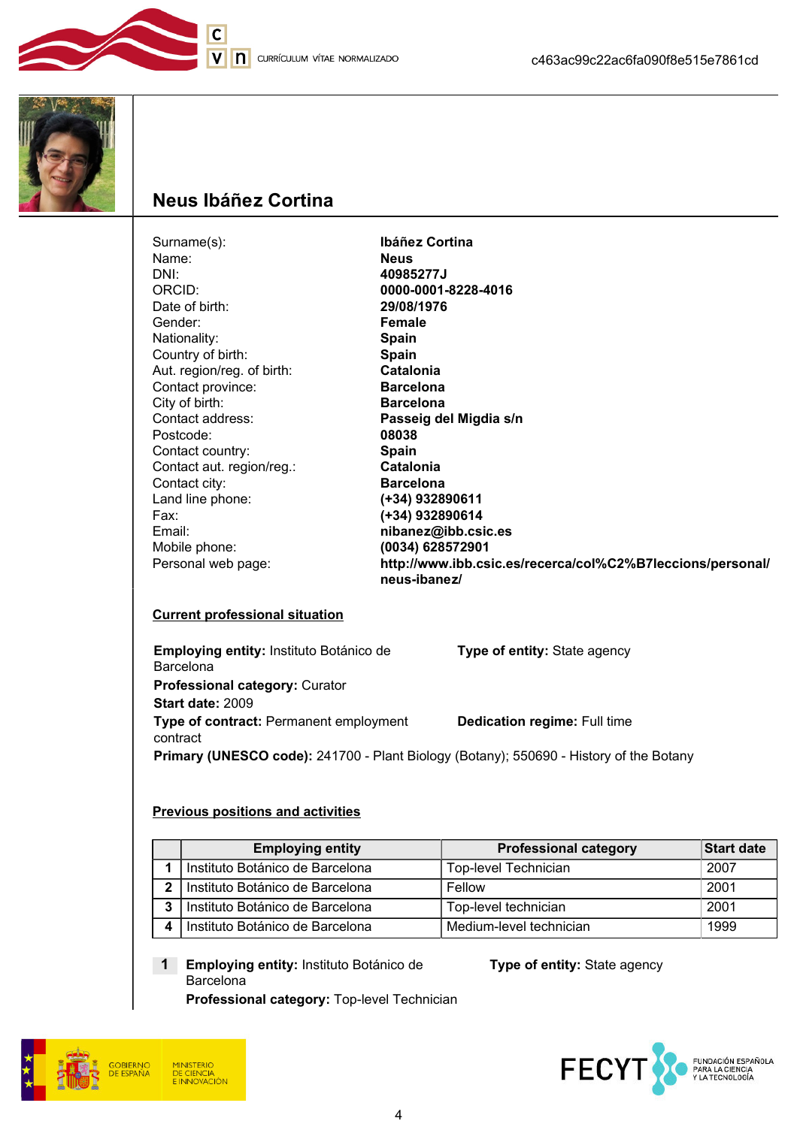



# Neus Ibáñez Cortina

 $\overline{\mathsf{C}}$ 

| Surname(s):                | Ibáñez Cortina                                                             |
|----------------------------|----------------------------------------------------------------------------|
| Name:                      | <b>Neus</b>                                                                |
| DNI:                       | 40985277J                                                                  |
| ORCID:                     | 0000-0001-8228-4016                                                        |
| Date of birth:             | 29/08/1976                                                                 |
| Gender:                    | Female                                                                     |
| Nationality:               | <b>Spain</b>                                                               |
| Country of birth:          | <b>Spain</b>                                                               |
| Aut. region/reg. of birth: | <b>Catalonia</b>                                                           |
| Contact province:          | <b>Barcelona</b>                                                           |
| City of birth:             | <b>Barcelona</b>                                                           |
| Contact address:           | Passeig del Migdia s/n                                                     |
| Postcode:                  | 08038                                                                      |
| Contact country:           | <b>Spain</b>                                                               |
| Contact aut. region/reg.:  | Catalonia                                                                  |
| Contact city:              | <b>Barcelona</b>                                                           |
| Land line phone:           | (+34) 932890611                                                            |
| Fax:                       | (+34) 932890614                                                            |
| Email:                     | nibanez@ibb.csic.es                                                        |
| Mobile phone:              | (0034) 628572901                                                           |
| Personal web page:         | http://www.ibb.csic.es/recerca/col%C2%B7leccions/personal/<br>neus-ibanez/ |

### Current professional situation

| Employing entity: Instituto Botánico de                                                | <b>Type of entity:</b> State agency |
|----------------------------------------------------------------------------------------|-------------------------------------|
| <b>Barcelona</b>                                                                       |                                     |
| <b>Professional category: Curator</b>                                                  |                                     |
| Start date: 2009                                                                       |                                     |
| Type of contract: Permanent employment<br>contract                                     | <b>Dedication regime: Full time</b> |
| Primary (UNESCO code): 241700 - Plant Biology (Botany); 550690 - History of the Botany |                                     |

#### Previous positions and activities

|   | <b>Employing entity</b>         | <b>Professional category</b> | Start date |
|---|---------------------------------|------------------------------|------------|
|   | Instituto Botánico de Barcelona | Top-level Technician         | 2007       |
| 2 | Instituto Botánico de Barcelona | Fellow                       | 2001       |
| 3 | Instituto Botánico de Barcelona | Top-level technician         | 2001       |
|   | Instituto Botánico de Barcelona | Medium-level technician      | 1999       |

1 Employing entity: Instituto Botánico de Barcelona

Professional category: Top-level Technician

Type of entity: State agency



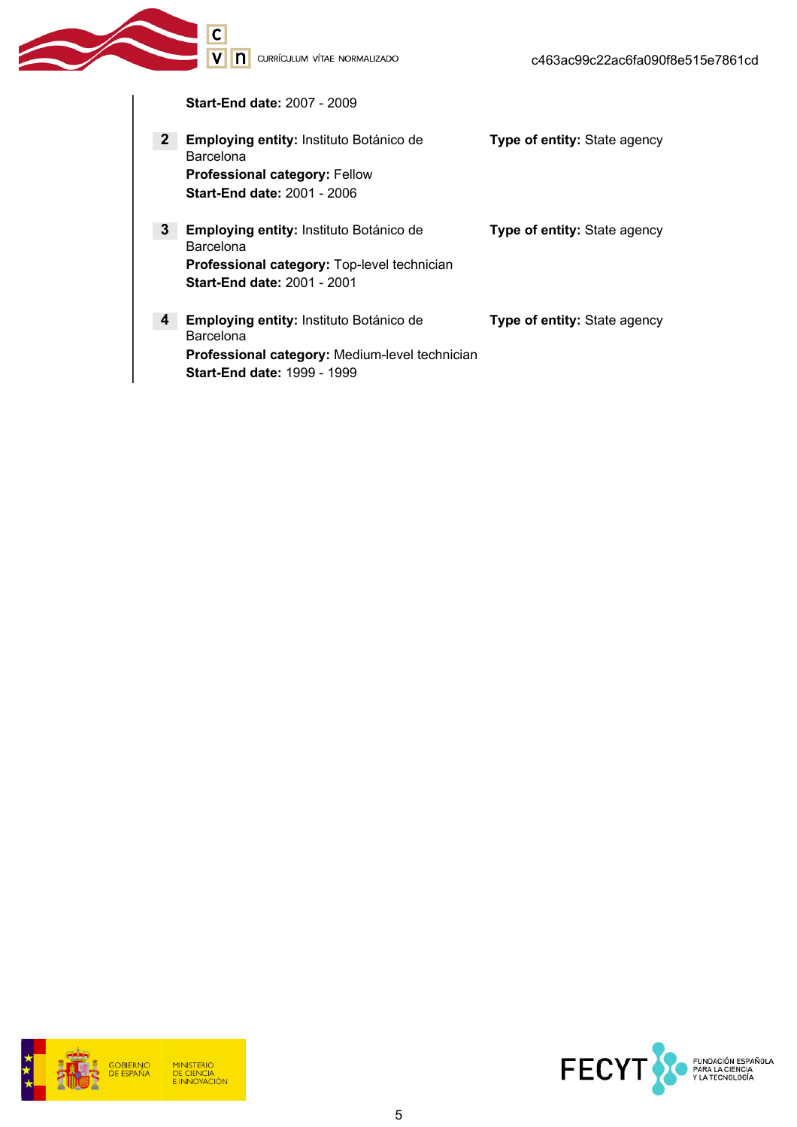Start-End date: 2007 - 2009

V | | | CURRÍCULUM VÍTAE NORMALIZADO

 $\overline{c}$ 

| $\mathbf{2}$ | Employing entity: Instituto Botánico de<br><b>Barcelona</b><br>Professional category: Fellow<br><b>Start-End date: 2001 - 2006</b>                         | <b>Type of entity: State agency</b> |
|--------------|------------------------------------------------------------------------------------------------------------------------------------------------------------|-------------------------------------|
| $\mathbf{3}$ | Employing entity: Instituto Botánico de<br>Barcelona<br><b>Professional category:</b> Top-level technician<br><b>Start-End date: 2001 - 2001</b>           | <b>Type of entity:</b> State agency |
| 4            | <b>Employing entity:</b> Instituto Botánico de<br><b>Barcelona</b><br>Professional category: Medium-level technician<br><b>Start-End date: 1999 - 1999</b> | <b>Type of entity:</b> State agency |



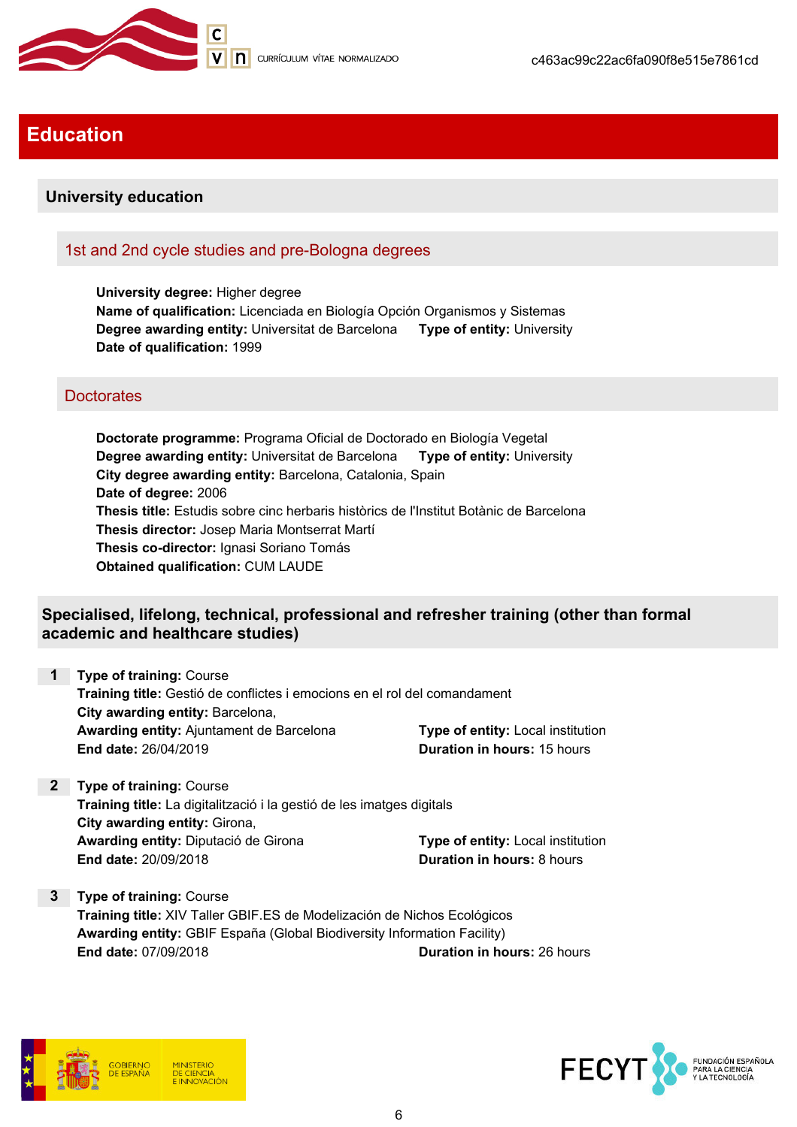

# Education

## University education

## 1st and 2nd cycle studies and pre-Bologna degrees

University degree: Higher degree Name of qualification: Licenciada en Biología Opción Organismos y Sistemas Degree awarding entity: Universitat de Barcelona Type of entity: University Date of qualification: 1999

## **Doctorates**

Doctorate programme: Programa Oficial de Doctorado en Biología Vegetal Degree awarding entity: Universitat de Barcelona Type of entity: University City degree awarding entity: Barcelona, Catalonia, Spain Date of degree: 2006 Thesis title: Estudis sobre cinc herbaris històrics de l'Institut Botànic de Barcelona Thesis director: Josep Maria Montserrat Martí Thesis co-director: Ignasi Soriano Tomás Obtained qualification: CUM LAUDE

## Specialised, lifelong, technical, professional and refresher training (other than formal academic and healthcare studies)

| <b>1</b> Type of training: Course                                         |                                    |
|---------------------------------------------------------------------------|------------------------------------|
| Training title: Gestió de conflictes i emocions en el rol del comandament |                                    |
| City awarding entity: Barcelona,                                          |                                    |
| <b>Awarding entity:</b> Ajuntament de Barcelona                           | Type of entity: Local institution  |
| End date: 26/04/2019                                                      | <b>Duration in hours: 15 hours</b> |

2 Type of training: Course Training title: La digitalització i la gestió de les imatges digitals City awarding entity: Girona, Awarding entity: Diputació de Girona Type of entity: Local institution End date: 20/09/2018 **Duration in hours: 8 hours** 

3 Type of training: Course Training title: XIV Taller GBIF.ES de Modelización de Nichos Ecológicos Awarding entity: GBIF España (Global Biodiversity Information Facility) End date: 07/09/2018 **Duration in hours:** 26 hours



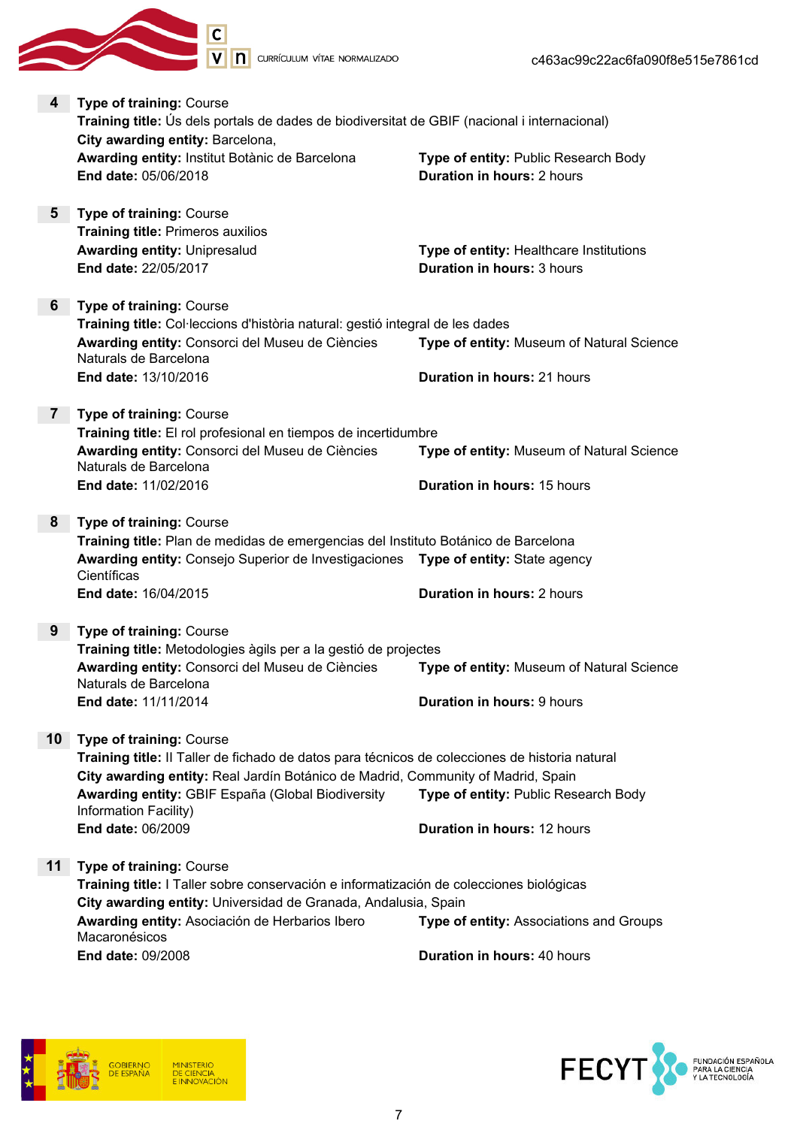**In** CURRÍCULUM VÍTAE NORMALIZADO





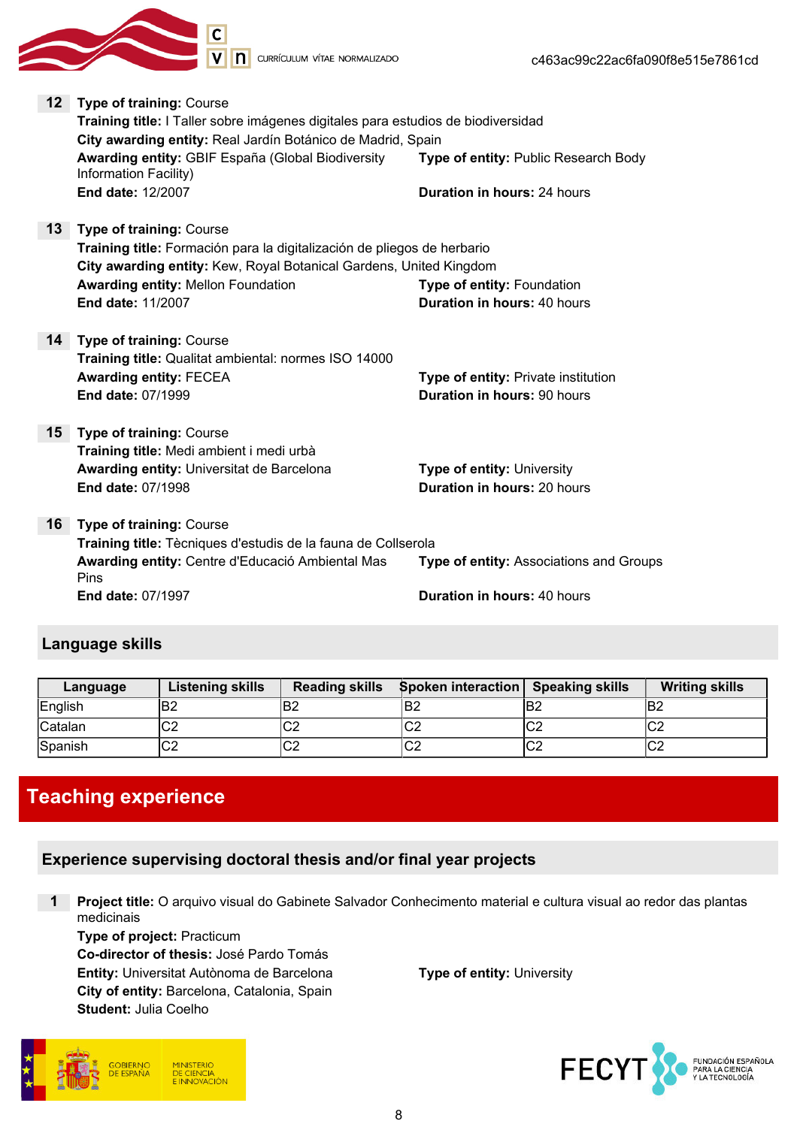

V n currículum vítae normalizado

| 12              | <b>Type of training: Course</b>                                                  |                                            |
|-----------------|----------------------------------------------------------------------------------|--------------------------------------------|
|                 | Training title: I Taller sobre imágenes digitales para estudios de biodiversidad |                                            |
|                 | City awarding entity: Real Jardín Botánico de Madrid, Spain                      |                                            |
|                 | Awarding entity: GBIF España (Global Biodiversity<br>Information Facility)       | Type of entity: Public Research Body       |
|                 | <b>End date: 12/2007</b>                                                         | <b>Duration in hours: 24 hours</b>         |
| 13 <sup>°</sup> | <b>Type of training: Course</b>                                                  |                                            |
|                 | Training title: Formación para la digitalización de pliegos de herbario          |                                            |
|                 | City awarding entity: Kew, Royal Botanical Gardens, United Kingdom               |                                            |
|                 | <b>Awarding entity: Mellon Foundation</b>                                        | Type of entity: Foundation                 |
|                 | <b>End date: 11/2007</b>                                                         | <b>Duration in hours: 40 hours</b>         |
|                 | <b>14 Type of training: Course</b>                                               |                                            |
|                 | Training title: Qualitat ambiental: normes ISO 14000                             |                                            |
|                 | <b>Awarding entity: FECEA</b>                                                    | <b>Type of entity: Private institution</b> |
|                 | <b>End date: 07/1999</b>                                                         | <b>Duration in hours: 90 hours</b>         |
| 15 <sub>1</sub> | <b>Type of training: Course</b>                                                  |                                            |
|                 | Training title: Medi ambient i medi urbà                                         |                                            |
|                 | Awarding entity: Universitat de Barcelona                                        | <b>Type of entity: University</b>          |
|                 | <b>End date: 07/1998</b>                                                         | <b>Duration in hours: 20 hours</b>         |
|                 |                                                                                  |                                            |
| 16              | <b>Type of training: Course</b>                                                  |                                            |
|                 | Training title: Tècniques d'estudis de la fauna de Collserola                    |                                            |
|                 | Awarding entity: Centre d'Educació Ambiental Mas<br>Pins                         | Type of entity: Associations and Groups    |
|                 | <b>End date: 07/1997</b>                                                         | <b>Duration in hours: 40 hours</b>         |
|                 |                                                                                  |                                            |

## Language skills

| Language | <b>Listening skills</b> | <b>Reading skills</b> | <b>Spoken interaction</b> Speaking skills |     | <b>Writing skills</b> |
|----------|-------------------------|-----------------------|-------------------------------------------|-----|-----------------------|
| English  | ΈB2                     | ΈB2                   | lB2                                       | lB2 | lB2                   |
| Catalan  | rn<br>ےت∗               | rn<br>◡∠              | $\sim$<br>∣∪∠                             | lC2 | $\sim$<br>ΩZ          |
| Spanish  | ⌒⌒<br>ےت∗               | rn<br>◡∠              | $\sim$<br>∣∪∠                             | lC2 | $\sim$<br>◡∠          |

# Teaching experience

# Experience supervising doctoral thesis and/or final year projects

1 Project title: O arquivo visual do Gabinete Salvador Conhecimento material e cultura visual ao redor das plantas medicinais

Type of project: Practicum Co-director of thesis: José Pardo Tomás Entity: Universitat Autònoma de Barcelona Type of entity: University City of entity: Barcelona, Catalonia, Spain Student: Julia Coelho



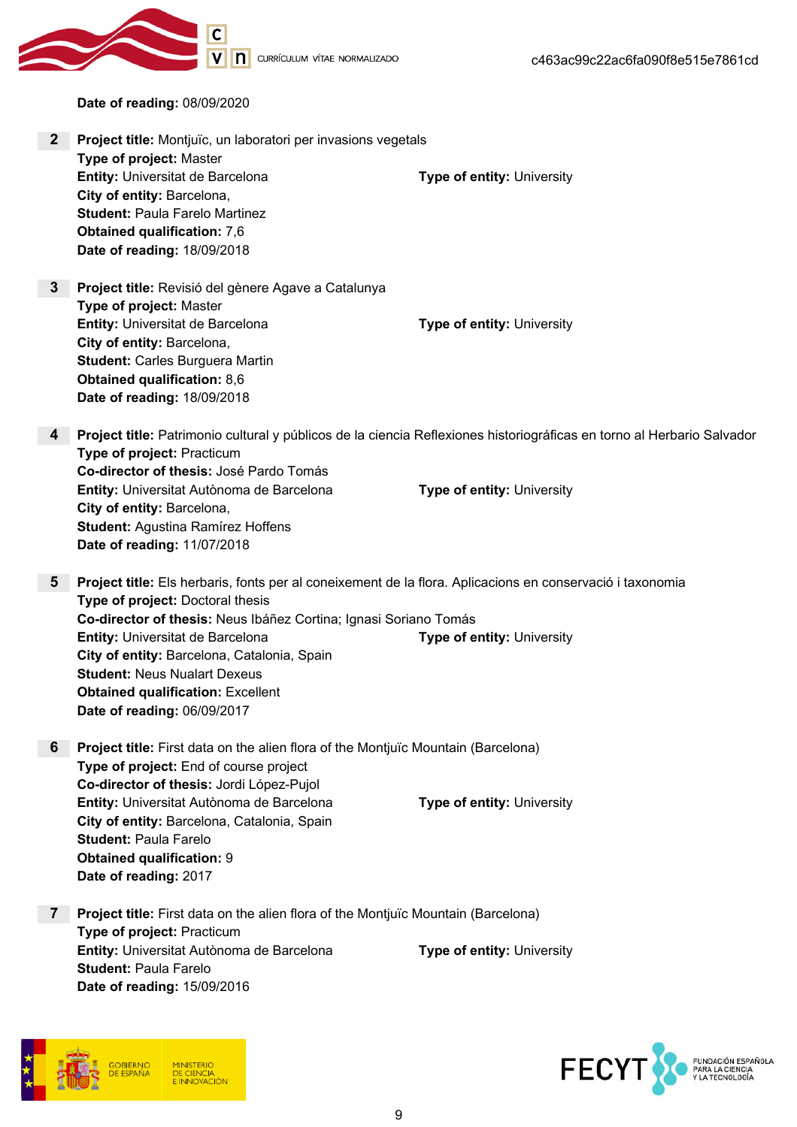

V n currículum vítae normalizado

Date of reading: 08/09/2020

| 2 <sup>2</sup> | Project title: Montjuïc, un laboratori per invasions vegetals                                                                                 |                                                                                                                        |  |
|----------------|-----------------------------------------------------------------------------------------------------------------------------------------------|------------------------------------------------------------------------------------------------------------------------|--|
|                | Type of project: Master<br>Entity: Universitat de Barcelona                                                                                   | Type of entity: University                                                                                             |  |
|                | City of entity: Barcelona,                                                                                                                    |                                                                                                                        |  |
|                | <b>Student: Paula Farelo Martinez</b>                                                                                                         |                                                                                                                        |  |
|                | <b>Obtained qualification: 7,6</b>                                                                                                            |                                                                                                                        |  |
|                | Date of reading: 18/09/2018                                                                                                                   |                                                                                                                        |  |
|                |                                                                                                                                               |                                                                                                                        |  |
| $3\phantom{a}$ | Project title: Revisió del gènere Agave a Catalunya                                                                                           |                                                                                                                        |  |
|                | Type of project: Master                                                                                                                       |                                                                                                                        |  |
|                | Entity: Universitat de Barcelona                                                                                                              | Type of entity: University                                                                                             |  |
|                | City of entity: Barcelona,                                                                                                                    |                                                                                                                        |  |
|                | <b>Student: Carles Burguera Martin</b>                                                                                                        |                                                                                                                        |  |
|                | <b>Obtained qualification: 8,6</b><br>Date of reading: 18/09/2018                                                                             |                                                                                                                        |  |
|                |                                                                                                                                               |                                                                                                                        |  |
| 4              |                                                                                                                                               | Project title: Patrimonio cultural y públicos de la ciencia Reflexiones historiográficas en torno al Herbario Salvador |  |
|                | Type of project: Practicum                                                                                                                    |                                                                                                                        |  |
|                | Co-director of thesis: José Pardo Tomás                                                                                                       |                                                                                                                        |  |
|                | Entity: Universitat Autònoma de Barcelona                                                                                                     | Type of entity: University                                                                                             |  |
|                | City of entity: Barcelona,                                                                                                                    |                                                                                                                        |  |
|                | <b>Student: Agustina Ramírez Hoffens</b>                                                                                                      |                                                                                                                        |  |
|                | Date of reading: 11/07/2018                                                                                                                   |                                                                                                                        |  |
| $5^{\circ}$    |                                                                                                                                               |                                                                                                                        |  |
|                | Project title: Els herbaris, fonts per al coneixement de la flora. Aplicacions en conservació i taxonomia<br>Type of project: Doctoral thesis |                                                                                                                        |  |
|                | Co-director of thesis: Neus Ibáñez Cortina; Ignasi Soriano Tomás                                                                              |                                                                                                                        |  |
|                | Entity: Universitat de Barcelona                                                                                                              | Type of entity: University                                                                                             |  |
|                | City of entity: Barcelona, Catalonia, Spain                                                                                                   |                                                                                                                        |  |
|                | <b>Student: Neus Nualart Dexeus</b>                                                                                                           |                                                                                                                        |  |
|                | <b>Obtained qualification: Excellent</b>                                                                                                      |                                                                                                                        |  |
|                | Date of reading: 06/09/2017                                                                                                                   |                                                                                                                        |  |
|                |                                                                                                                                               |                                                                                                                        |  |
| 6              | Project title: First data on the alien flora of the Montjuïc Mountain (Barcelona)                                                             |                                                                                                                        |  |
|                | Type of project: End of course project                                                                                                        |                                                                                                                        |  |
|                | Co-director of thesis: Jordi López-Pujol                                                                                                      |                                                                                                                        |  |
|                | Entity: Universitat Autònoma de Barcelona<br>City of entity: Barcelona, Catalonia, Spain                                                      | Type of entity: University                                                                                             |  |
|                | <b>Student: Paula Farelo</b>                                                                                                                  |                                                                                                                        |  |
|                | <b>Obtained qualification: 9</b>                                                                                                              |                                                                                                                        |  |
|                | Date of reading: 2017                                                                                                                         |                                                                                                                        |  |
|                |                                                                                                                                               |                                                                                                                        |  |
| $\mathbf{7}$   | Project title: First data on the alien flora of the Montjuïc Mountain (Barcelona)                                                             |                                                                                                                        |  |
|                | Type of project: Practicum                                                                                                                    |                                                                                                                        |  |
|                | Entity: Universitat Autònoma de Barcelona                                                                                                     | Type of entity: University                                                                                             |  |
|                | <b>Student: Paula Farelo</b>                                                                                                                  |                                                                                                                        |  |
|                | Date of reading: 15/09/2016                                                                                                                   |                                                                                                                        |  |
|                |                                                                                                                                               |                                                                                                                        |  |



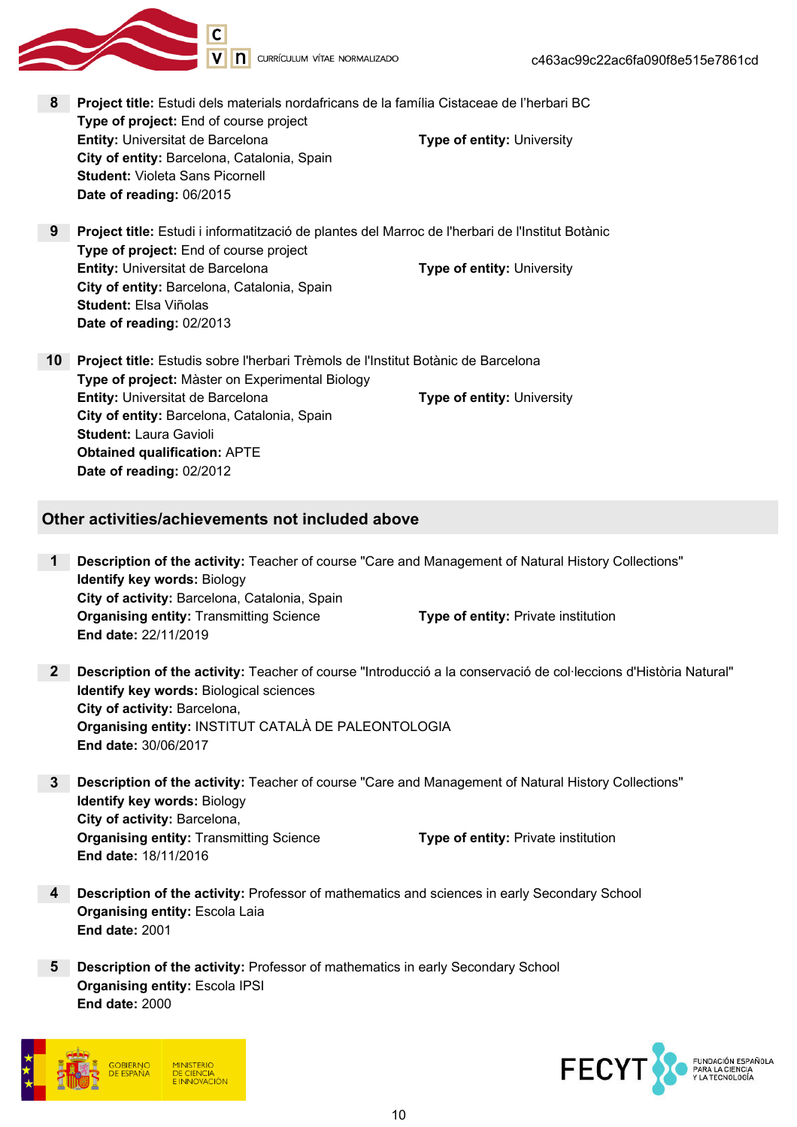

- 8 Project title: Estudi dels materials nordafricans de la família Cistaceae de l'herbari BC Type of project: End of course project **Entity:** Universitat de Barcelona Type of entity: University City of entity: Barcelona, Catalonia, Spain Student: Violeta Sans Picornell Date of reading: 06/2015
- 9 Project title: Estudi i informatització de plantes del Marroc de l'herbari de l'Institut Botànic Type of project: End of course project **Entity:** Universitat de Barcelona **Type of entity: University** City of entity: Barcelona, Catalonia, Spain Student: Elsa Viñolas Date of reading: 02/2013
- 10 Project title: Estudis sobre l'herbari Trèmols de l'Institut Botànic de Barcelona Type of project: Màster on Experimental Biology **Entity:** Universitat de Barcelona **Type of entity: University** City of entity: Barcelona, Catalonia, Spain Student: Laura Gavioli Obtained qualification: APTE Date of reading: 02/2012

### Other activities/achievements not included above

- 1 Description of the activity: Teacher of course "Care and Management of Natural History Collections" Identify key words: Biology City of activity: Barcelona, Catalonia, Spain **Organising entity:** Transmitting Science Type of entity: Private institution End date: 22/11/2019
- 2 Description of the activity: Teacher of course "Introducció a la conservació de col·leccions d'Història Natural" Identify key words: Biological sciences City of activity: Barcelona, Organising entity: INSTITUT CATALÀ DE PALEONTOLOGIA End date: 30/06/2017
- 3 Description of the activity: Teacher of course "Care and Management of Natural History Collections" Identify key words: Biology City of activity: Barcelona, **Organising entity:** Transmitting Science Type of entity: Private institution End date: 18/11/2016
- 4 **Description of the activity:** Professor of mathematics and sciences in early Secondary School Organising entity: Escola Laia End date: 2001
- **5** Description of the activity: Professor of mathematics in early Secondary School Organising entity: Escola IPSI End date: 2000



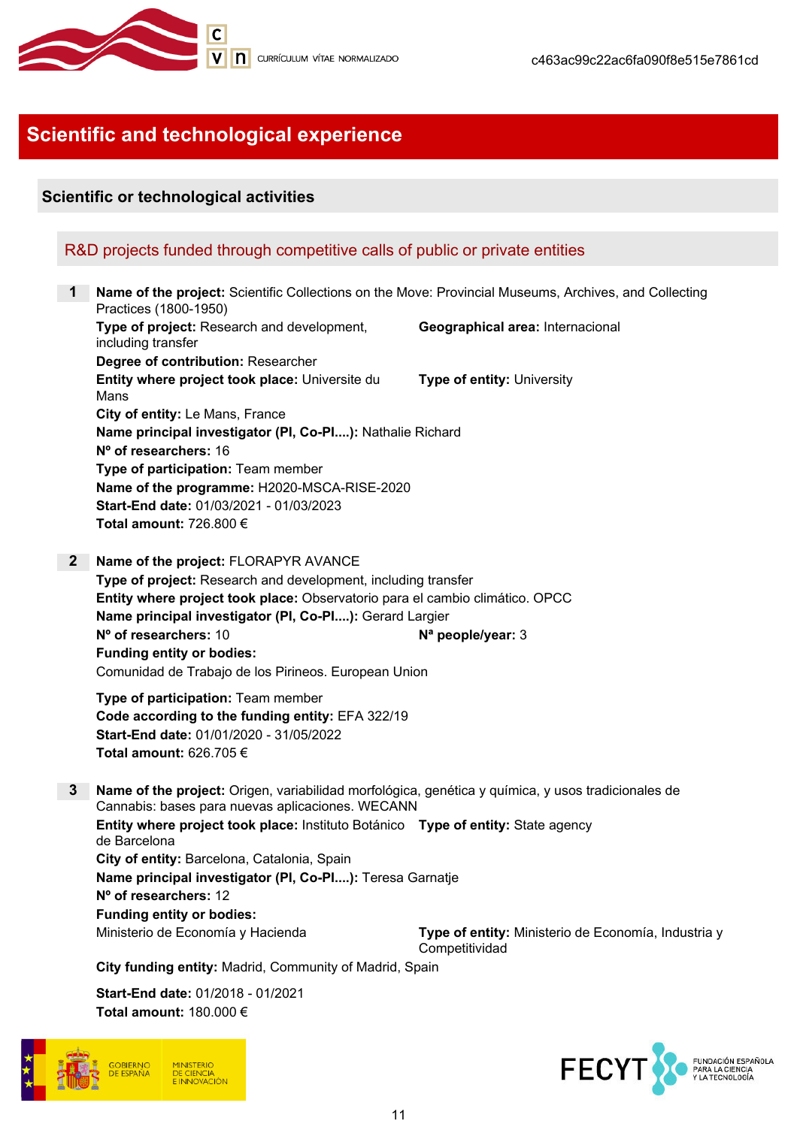

# Scientific and technological experience

## Scientific or technological activities

## R&D projects funded through competitive calls of public or private entities

1 Name of the project: Scientific Collections on the Move: Provincial Museums, Archives, and Collecting Practices (1800-1950) Type of project: Research and development, including transfer Geographical area: Internacional Degree of contribution: Researcher Entity where project took place: Universite du Mans Type of entity: University City of entity: Le Mans, France Name principal investigator (PI, Co-PI....): Nathalie Richard Nº of researchers: 16 Type of participation: Team member Name of the programme: H2020-MSCA-RISE-2020 Start-End date: 01/03/2021 - 01/03/2023 Total amount: 726.800 € 2 Name of the project: FLORAPYR AVANCE Type of project: Research and development, including transfer Entity where project took place: Observatorio para el cambio climático. OPCC Name principal investigator (PI, Co-PI....): Gerard Largier  $N<sup>o</sup>$  of researchers: 10  $N<sup>a</sup>$  people/year: 3 Funding entity or bodies: Comunidad de Trabajo de los Pirineos. European Union Type of participation: Team member Code according to the funding entity: EFA 322/19 Start-End date: 01/01/2020 - 31/05/2022 Total amount: 626.705 € 3 Name of the project: Origen, variabilidad morfológica, genética y química, y usos tradicionales de Cannabis: bases para nuevas aplicaciones. WECANN Entity where project took place: Instituto Botánico Type of entity: State agency de Barcelona City of entity: Barcelona, Catalonia, Spain Name principal investigator (PI, Co-PI....): Teresa Garnatje Nº of researchers: 12 Funding entity or bodies: Ministerio de Economía y Hacienda Type of entity: Ministerio de Economía, Industria y Competitividad

City funding entity: Madrid, Community of Madrid, Spain

Start-End date: 01/2018 - 01/2021 Total amount: 180.000 €



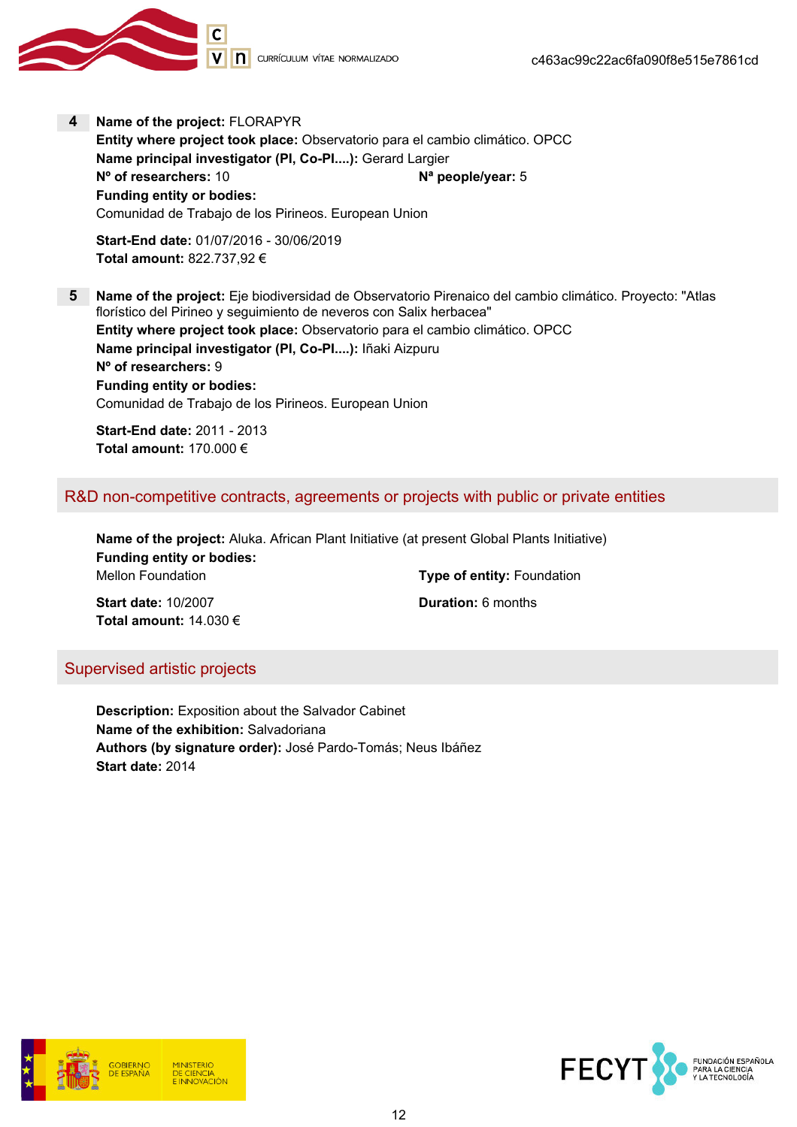

4 Name of the project: FLORAPYR

Entity where project took place: Observatorio para el cambio climático. OPCC Name principal investigator (PI, Co-PI....): Gerard Largier N° of researchers: 10 N° people/year: 5 Funding entity or bodies: Comunidad de Trabajo de los Pirineos. European Union

Start-End date: 01/07/2016 - 30/06/2019 Total amount: 822.737,92 €

5 Name of the project: Eje biodiversidad de Observatorio Pirenaico del cambio climático. Proyecto: "Atlas florístico del Pirineo y seguimiento de neveros con Salix herbacea" Entity where project took place: Observatorio para el cambio climático. OPCC Name principal investigator (PI, Co-PI....): Iñaki Aizpuru Nº of researchers: 9 Funding entity or bodies: Comunidad de Trabajo de los Pirineos. European Union

Start-End date: 2011 - 2013 Total amount: 170.000 €

## R&D non-competitive contracts, agreements or projects with public or private entities

Name of the project: Aluka. African Plant Initiative (at present Global Plants Initiative) Funding entity or bodies: Mellon Foundation Mellon Foundation Type of entity: Foundation

Start date: 10/2007 Channel Communication: 6 months Total amount: 14.030 €

## Supervised artistic projects

Description: Exposition about the Salvador Cabinet Name of the exhibition: Salvadoriana Authors (by signature order): José Pardo-Tomás; Neus Ibáñez Start date: 2014



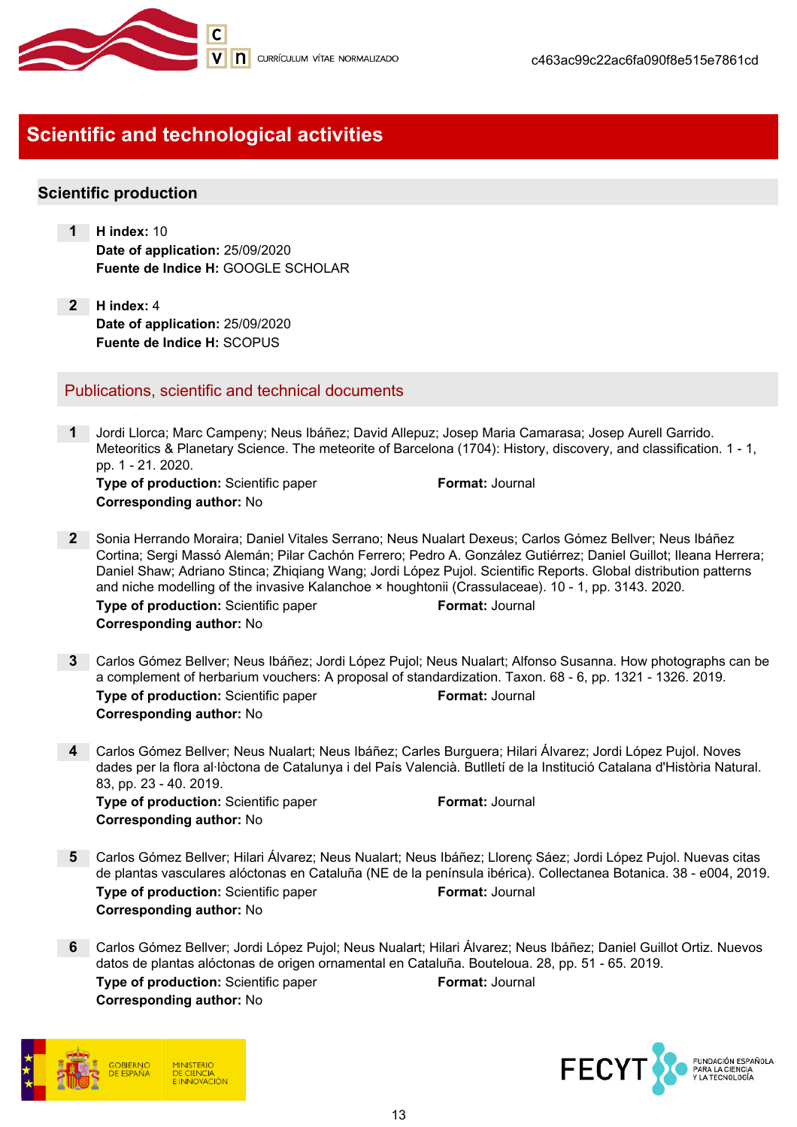

# Scientific and technological activities

### Scientific production

- 1 H index: 10 Date of application: 25/09/2020 Fuente de Indice H: GOOGLE SCHOLAR
- 2 H index: 4 Date of application: 25/09/2020 Fuente de Indice H: SCOPUS

### Publications, scientific and technical documents

- 1 Jordi Llorca; Marc Campeny; Neus Ibáñez; David Allepuz; Josep Maria Camarasa; Josep Aurell Garrido. Meteoritics & Planetary Science. The meteorite of Barcelona (1704): History, discovery, and classification. 1 - 1, pp. 1 - 21. 2020. Type of production: Scientific paper Format: Journal Corresponding author: No
- 2 Sonia Herrando Moraira; Daniel Vitales Serrano; Neus Nualart Dexeus; Carlos Gómez Bellver; Neus Ibáñez Cortina; Sergi Massó Alemán; Pilar Cachón Ferrero; Pedro A. González Gutiérrez; Daniel Guillot; Ileana Herrera; Daniel Shaw; Adriano Stinca; Zhiqiang Wang; Jordi López Pujol. Scientific Reports. Global distribution patterns and niche modelling of the invasive Kalanchoe × houghtonii (Crassulaceae). 10 - 1, pp. 3143. 2020. Type of production: Scientific paper Format: Journal Corresponding author: No
- 3 Carlos Gómez Bellver; Neus Ibáñez; Jordi López Pujol; Neus Nualart; Alfonso Susanna. How photographs can be a complement of herbarium vouchers: A proposal of standardization. Taxon. 68 - 6, pp. 1321 - 1326. 2019. Type of production: Scientific paper Format: Journal Corresponding author: No
- 4 Carlos Gómez Bellver; Neus Nualart; Neus Ibáñez; Carles Burguera; Hilari Álvarez; Jordi López Pujol. Noves dades per la flora al·lòctona de Catalunya i del País Valencià. Butlletí de la Institució Catalana d'Història Natural. 83, pp. 23 - 40. 2019.

Type of production: Scientific paper Format: Journal Corresponding author: No

- 5 Carlos Gómez Bellver; Hilari Álvarez; Neus Nualart; Neus Ibáñez; Llorenç Sáez; Jordi López Pujol. Nuevas citas de plantas vasculares alóctonas en Cataluña (NE de la península ibérica). Collectanea Botanica. 38 - e004, 2019. **Type of production:** Scientific paper Format: Journal Corresponding author: No
- 6 Carlos Gómez Bellver; Jordi López Pujol; Neus Nualart; Hilari Álvarez; Neus Ibáñez; Daniel Guillot Ortiz. Nuevos datos de plantas alóctonas de origen ornamental en Cataluña. Bouteloua. 28, pp. 51 - 65. 2019. Type of production: Scientific paper Format: Journal Corresponding author: No



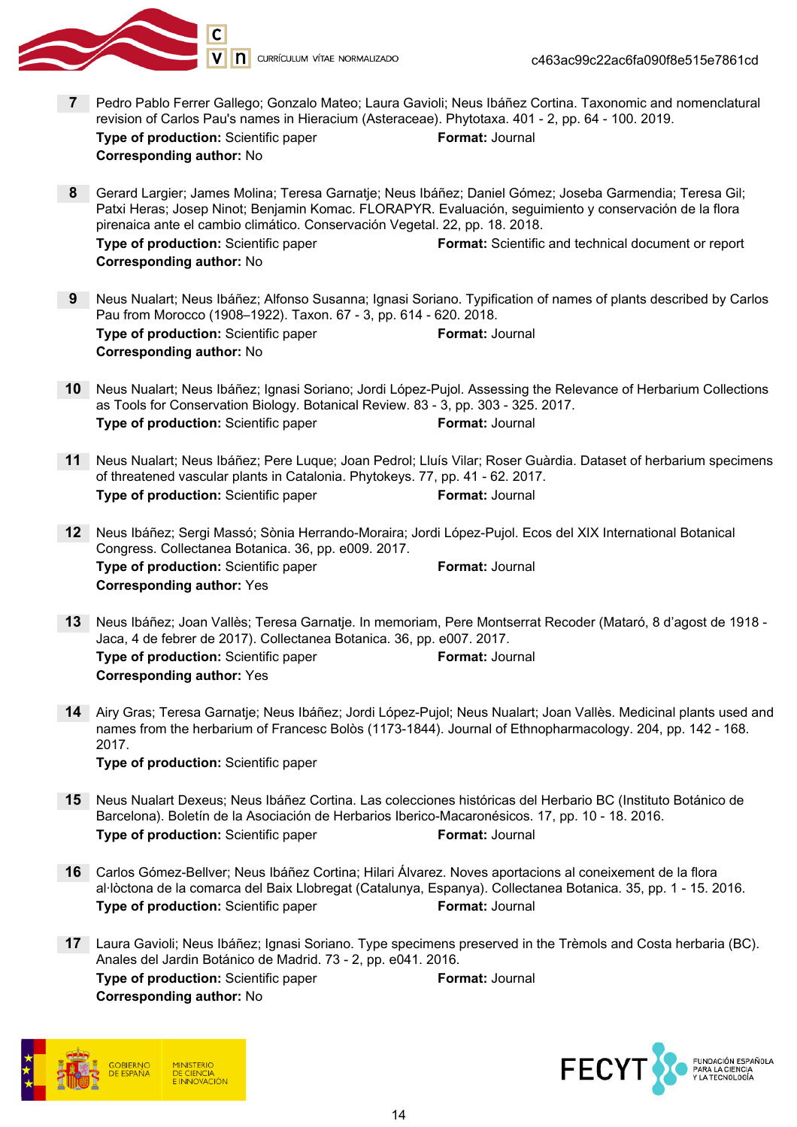

- 7 Pedro Pablo Ferrer Gallego; Gonzalo Mateo; Laura Gavioli; Neus Ibáñez Cortina. Taxonomic and nomenclatural revision of Carlos Pau's names in Hieracium (Asteraceae). Phytotaxa. 401 - 2, pp. 64 - 100. 2019. Type of production: Scientific paper Format: Journal Corresponding author: No
- 8 Gerard Largier; James Molina; Teresa Garnatje; Neus Ibáñez; Daniel Gómez; Joseba Garmendia; Teresa Gil; Patxi Heras; Josep Ninot; Benjamin Komac. FLORAPYR. Evaluación, seguimiento y conservación de la flora pirenaica ante el cambio climático. Conservación Vegetal. 22, pp. 18. 2018. Type of production: Scientific paper Format: Scientific and technical document or report Corresponding author: No
- 9 Neus Nualart; Neus Ibáñez; Alfonso Susanna; Ignasi Soriano. Typification of names of plants described by Carlos Pau from Morocco (1908–1922). Taxon. 67 - 3, pp. 614 - 620. 2018. **Type of production:** Scientific paper Format: Journal Corresponding author: No
- 10 Neus Nualart; Neus Ibáñez; Ignasi Soriano; Jordi López-Pujol. Assessing the Relevance of Herbarium Collections as Tools for Conservation Biology. Botanical Review. 83 - 3, pp. 303 - 325. 2017. **Type of production:** Scientific paper Format: Journal
- 11 Neus Nualart; Neus Ibáñez; Pere Luque; Joan Pedrol; Lluís Vilar; Roser Guàrdia. Dataset of herbarium specimens of threatened vascular plants in Catalonia. Phytokeys. 77, pp. 41 - 62. 2017. **Type of production:** Scientific paper Format: Journal
- 12 Neus Ibáñez; Sergi Massó; Sònia Herrando-Moraira; Jordi López-Pujol. Ecos del XIX International Botanical Congress. Collectanea Botanica. 36, pp. e009. 2017. **Type of production:** Scientific paper Format: Journal Corresponding author: Yes
- 13 Neus Ibáñez; Joan Vallès; Teresa Garnatje. In memoriam, Pere Montserrat Recoder (Mataró, 8 d'agost de 1918 Jaca, 4 de febrer de 2017). Collectanea Botanica. 36, pp. e007. 2017. **Type of production:** Scientific paper Format: Journal Corresponding author: Yes
- 14 Airy Gras; Teresa Garnatje; Neus Ibáñez; Jordi López-Pujol; Neus Nualart; Joan Vallès. Medicinal plants used and names from the herbarium of Francesc Bolòs (1173-1844). Journal of Ethnopharmacology. 204, pp. 142 - 168. 2017.

Type of production: Scientific paper

- 15 Neus Nualart Dexeus; Neus Ibáñez Cortina. Las colecciones históricas del Herbario BC (Instituto Botánico de Barcelona). Boletín de la Asociación de Herbarios Iberico-Macaronésicos. 17, pp. 10 - 18. 2016. Type of production: Scientific paper Format: Journal
- 16 Carlos Gómez-Bellver; Neus Ibáñez Cortina; Hilari Álvarez. Noves aportacions al coneixement de la flora al·lòctona de la comarca del Baix Llobregat (Catalunya, Espanya). Collectanea Botanica. 35, pp. 1 - 15. 2016. Type of production: Scientific paper Format: Journal
- 17 Laura Gavioli; Neus Ibáñez; Ignasi Soriano. Type specimens preserved in the Trèmols and Costa herbaria (BC). Anales del Jardin Botánico de Madrid. 73 - 2, pp. e041. 2016. **Type of production:** Scientific paper Format: Journal Corresponding author: No



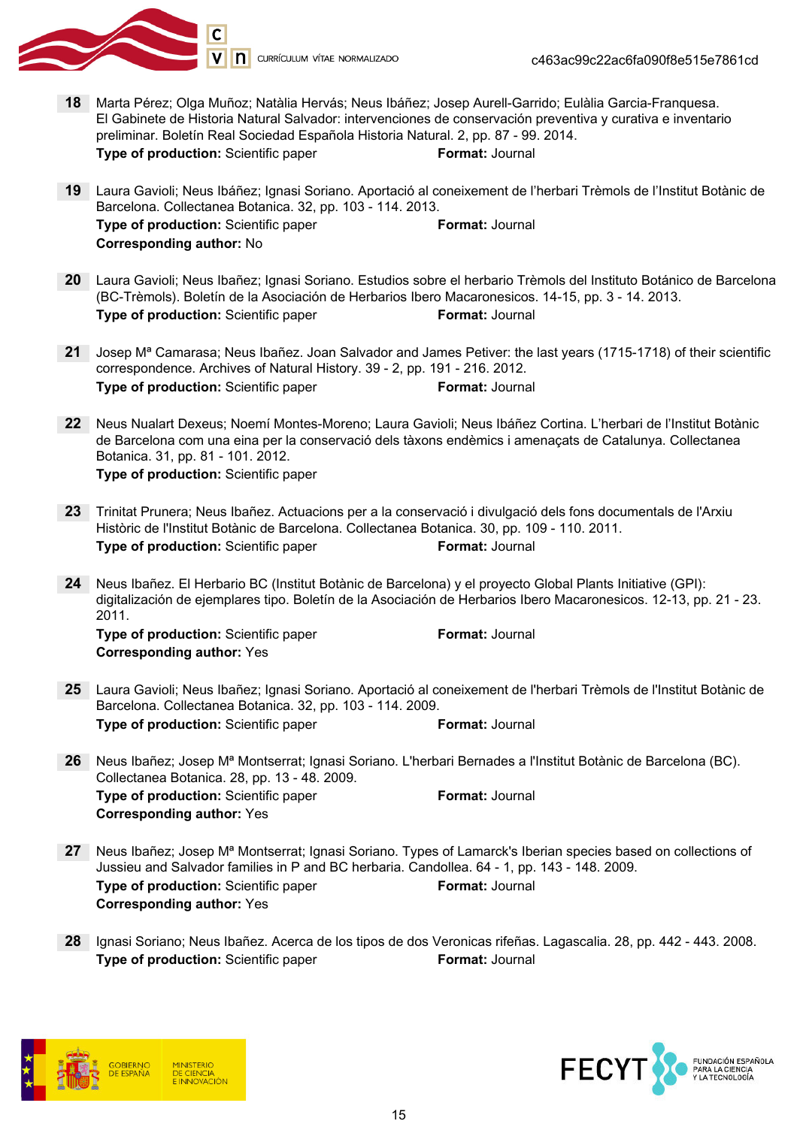

- 18 Marta Pérez; Olga Muñoz; Natàlia Hervás; Neus Ibáñez; Josep Aurell-Garrido; Eulàlia Garcia-Franquesa. El Gabinete de Historia Natural Salvador: intervenciones de conservación preventiva y curativa e inventario preliminar. Boletín Real Sociedad Española Historia Natural. 2, pp. 87 - 99. 2014. Type of production: Scientific paper Format: Journal
- 19 Laura Gavioli; Neus Ibáñez; Ignasi Soriano. Aportació al coneixement de l'herbari Trèmols de l'Institut Botànic de Barcelona. Collectanea Botanica. 32, pp. 103 - 114. 2013. Type of production: Scientific paper Format: Journal Corresponding author: No
- 20 Laura Gavioli; Neus Ibañez; Ignasi Soriano. Estudios sobre el herbario Trèmols del Instituto Botánico de Barcelona (BC-Trèmols). Boletín de la Asociación de Herbarios Ibero Macaronesicos. 14-15, pp. 3 - 14. 2013. **Type of production:** Scientific paper Format: Journal
- 21 Josep M<sup>a</sup> Camarasa; Neus Ibañez. Joan Salvador and James Petiver: the last years (1715-1718) of their scientific correspondence. Archives of Natural History. 39 - 2, pp. 191 - 216. 2012. Type of production: Scientific paper Format: Journal
- 22 Neus Nualart Dexeus; Noemí Montes-Moreno; Laura Gavioli; Neus Ibáñez Cortina. L'herbari de l'Institut Botànic de Barcelona com una eina per la conservació dels tàxons endèmics i amenaçats de Catalunya. Collectanea Botanica. 31, pp. 81 - 101. 2012. Type of production: Scientific paper
- 23 Trinitat Prunera; Neus Ibañez. Actuacions per a la conservació i divulgació dels fons documentals de l'Arxiu Històric de l'Institut Botànic de Barcelona. Collectanea Botanica. 30, pp. 109 - 110. 2011. **Type of production:** Scientific paper Format: Journal
- 24 Neus Ibañez. El Herbario BC (Institut Botànic de Barcelona) y el proyecto Global Plants Initiative (GPI): digitalización de ejemplares tipo. Boletín de la Asociación de Herbarios Ibero Macaronesicos. 12-13, pp. 21 - 23. 2011.

**Type of production:** Scientific paper Format: Journal Corresponding author: Yes

- 25 Laura Gavioli; Neus Ibañez; Ignasi Soriano. Aportació al coneixement de l'herbari Trèmols de l'Institut Botànic de Barcelona. Collectanea Botanica. 32, pp. 103 - 114. 2009. **Type of production:** Scientific paper Format: Journal
- 26 Neus Ibañez; Josep Mª Montserrat; Ignasi Soriano. L'herbari Bernades a l'Institut Botànic de Barcelona (BC). Collectanea Botanica. 28, pp. 13 - 48. 2009. Type of production: Scientific paper Format: Journal Corresponding author: Yes
- 27 Neus Ibañez; Josep M<sup>a</sup> Montserrat; Ignasi Soriano. Types of Lamarck's Iberian species based on collections of Jussieu and Salvador families in P and BC herbaria. Candollea. 64 - 1, pp. 143 - 148. 2009. **Type of production:** Scientific paper Format: Journal Corresponding author: Yes
- 28 Ignasi Soriano; Neus Ibañez. Acerca de los tipos de dos Veronicas rifeñas. Lagascalia. 28, pp. 442 443. 2008. **Type of production:** Scientific paper Format: Journal



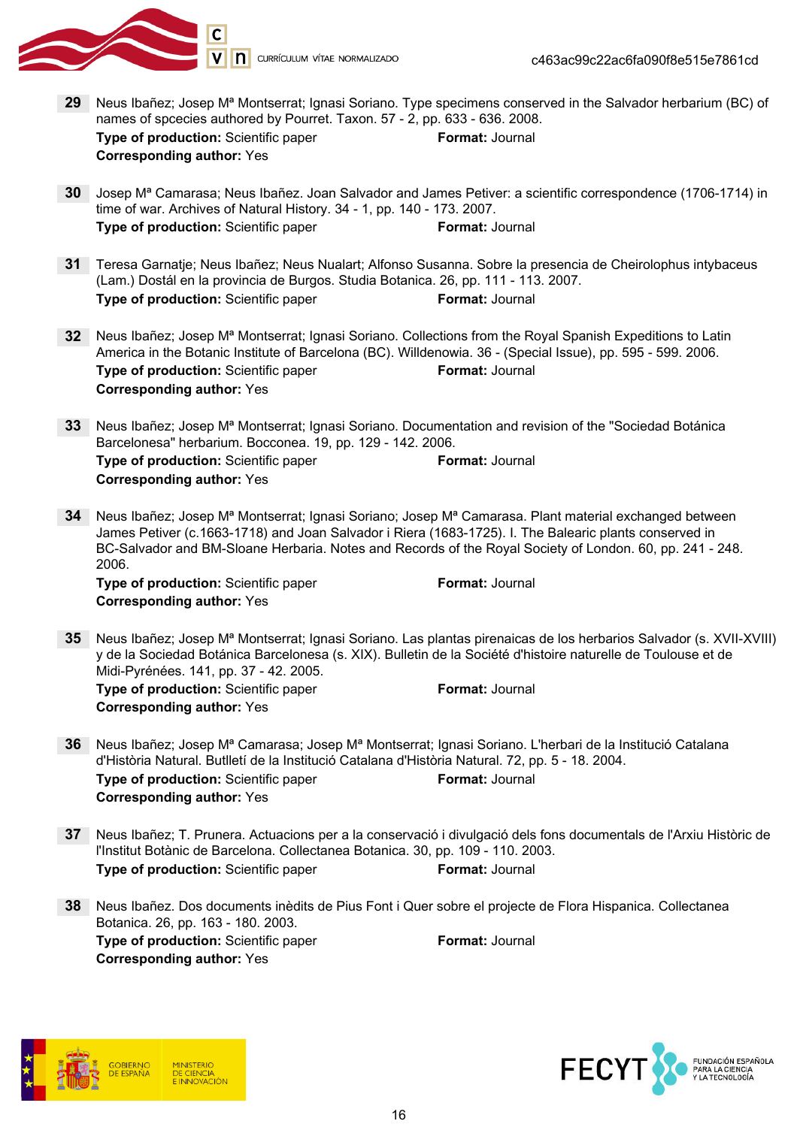

- 29 Neus Ibañez; Josep M<sup>a</sup> Montserrat; Ignasi Soriano. Type specimens conserved in the Salvador herbarium (BC) of names of spcecies authored by Pourret. Taxon. 57 - 2, pp. 633 - 636. 2008. Type of production: Scientific paper Format: Journal Corresponding author: Yes
- 30 Josep Mª Camarasa; Neus Ibañez. Joan Salvador and James Petiver: a scientific correspondence (1706-1714) in time of war. Archives of Natural History. 34 - 1, pp. 140 - 173. 2007. **Type of production:** Scientific paper Format: Journal
- 31 Teresa Garnatje; Neus Ibañez; Neus Nualart; Alfonso Susanna. Sobre la presencia de Cheirolophus intybaceus (Lam.) Dostál en la provincia de Burgos. Studia Botanica. 26, pp. 111 - 113. 2007. Type of production: Scientific paper Format: Journal
- 32 Neus Ibañez; Josep M<sup>a</sup> Montserrat; Ignasi Soriano. Collections from the Royal Spanish Expeditions to Latin America in the Botanic Institute of Barcelona (BC). Willdenowia. 36 - (Special Issue), pp. 595 - 599. 2006. **Type of production:** Scientific paper Format: Journal Corresponding author: Yes
- 33 Neus Ibañez; Josep M<sup>a</sup> Montserrat; Ignasi Soriano. Documentation and revision of the "Sociedad Botánica" Barcelonesa" herbarium. Bocconea. 19, pp. 129 - 142. 2006. Type of production: Scientific paper Format: Journal Corresponding author: Yes
- 34 Neus Ibañez; Josep M<sup>a</sup> Montserrat; Ignasi Soriano; Josep M<sup>a</sup> Camarasa. Plant material exchanged between James Petiver (c.1663-1718) and Joan Salvador i Riera (1683-1725). I. The Balearic plants conserved in BC-Salvador and BM-Sloane Herbaria. Notes and Records of the Royal Society of London. 60, pp. 241 - 248. 2006.

**Type of production:** Scientific paper Format: Journal Corresponding author: Yes

35 Neus Ibañez; Josep Mª Montserrat; Ignasi Soriano. Las plantas pirenaicas de los herbarios Salvador (s. XVII-XVIII) y de la Sociedad Botánica Barcelonesa (s. XIX). Bulletin de la Société d'histoire naturelle de Toulouse et de Midi-Pyrénées. 141, pp. 37 - 42. 2005. **Type of production:** Scientific paper Format: Journal

Corresponding author: Yes

- 36 Neus Ibañez; Josep M<sup>a</sup> Camarasa; Josep M<sup>a</sup> Montserrat; Ignasi Soriano. L'herbari de la Institució Catalana d'Història Natural. Butlletí de la Institució Catalana d'Història Natural. 72, pp. 5 - 18. 2004. Type of production: Scientific paper Format: Journal Corresponding author: Yes
- 37 Neus Ibañez; T. Prunera. Actuacions per a la conservació i divulgació dels fons documentals de l'Arxiu Històric de l'Institut Botànic de Barcelona. Collectanea Botanica. 30, pp. 109 - 110. 2003. Type of production: Scientific paper Format: Journal
- 38 Neus Ibañez. Dos documents inèdits de Pius Font i Quer sobre el projecte de Flora Hispanica. Collectanea Botanica. 26, pp. 163 - 180. 2003. **Type of production:** Scientific paper Format: Journal Corresponding author: Yes



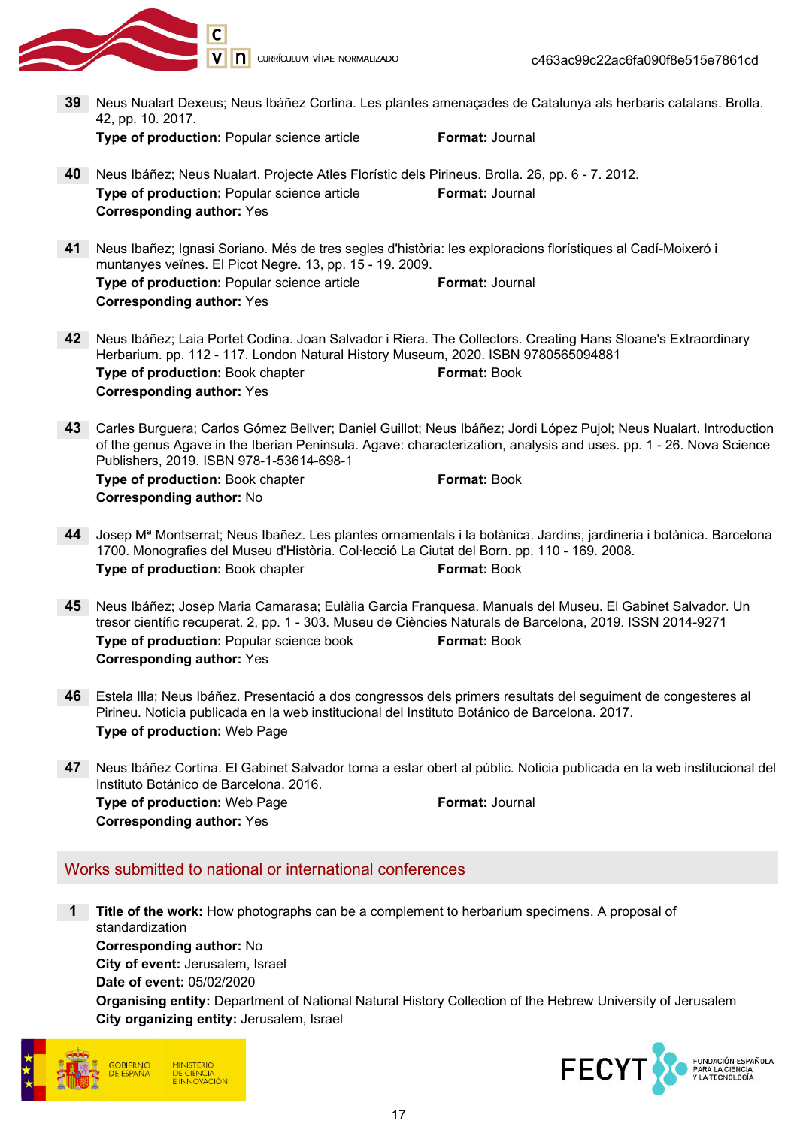

V | **n** currículum vítae normalizado

- 39 Neus Nualart Dexeus; Neus Ibáñez Cortina. Les plantes amenaçades de Catalunya als herbaris catalans. Brolla. 42, pp. 10. 2017. Type of production: Popular science article Format: Journal 40 Neus Ibáñez; Neus Nualart. Projecte Atles Florístic dels Pirineus. Brolla. 26, pp. 6 - 7. 2012. Type of production: Popular science article Format: Journal Corresponding author: Yes 41 Neus Ibañez; Ignasi Soriano. Més de tres segles d'història: les exploracions florístiques al Cadí-Moixeró i muntanyes veïnes. El Picot Negre. 13, pp. 15 - 19. 2009. Type of production: Popular science article Format: Journal Corresponding author: Yes 42 Neus Ibáñez; Laia Portet Codina. Joan Salvador i Riera. The Collectors. Creating Hans Sloane's Extraordinary Herbarium. pp. 112 - 117. London Natural History Museum, 2020. ISBN 9780565094881 Type of production: Book chapter Format: Book Corresponding author: Yes 43 Carles Burguera; Carlos Gómez Bellver; Daniel Guillot; Neus Ibáñez; Jordi López Pujol; Neus Nualart. Introduction of the genus Agave in the Iberian Peninsula. Agave: characterization, analysis and uses. pp. 1 - 26. Nova Science Publishers, 2019. ISBN 978-1-53614-698-1 **Type of production:** Book chapter **Format: Book** Corresponding author: No 44 Josep Mª Montserrat; Neus Ibañez. Les plantes ornamentals i la botànica. Jardins, jardineria i botànica. Barcelona 1700. Monografies del Museu d'Història. Col·lecció La Ciutat del Born. pp. 110 - 169. 2008. Type of production: Book chapter Format: Book 45 Neus Ibáñez; Josep Maria Camarasa; Eulàlia Garcia Franquesa. Manuals del Museu. El Gabinet Salvador. Un tresor científic recuperat. 2, pp. 1 - 303. Museu de Ciències Naturals de Barcelona, 2019. ISSN 2014-9271 **Type of production: Popular science book Format: Book** Corresponding author: Yes 46 Estela Illa; Neus Ibáñez. Presentació a dos congressos dels primers resultats del seguiment de congesteres al Pirineu. Noticia publicada en la web institucional del Instituto Botánico de Barcelona. 2017. Type of production: Web Page 47 Neus Ibáñez Cortina. El Gabinet Salvador torna a estar obert al públic. Noticia publicada en la web institucional del Instituto Botánico de Barcelona. 2016. **Type of production:** Web Page **Format: Journal** Corresponding author: Yes Works submitted to national or international conferences **1** Title of the work: How photographs can be a complement to herbarium specimens. A proposal of standardization Corresponding author: No City of event: Jerusalem, Israel
	- Date of event: 05/02/2020

Organising entity: Department of National Natural History Collection of the Hebrew University of Jerusalem City organizing entity: Jerusalem, Israel



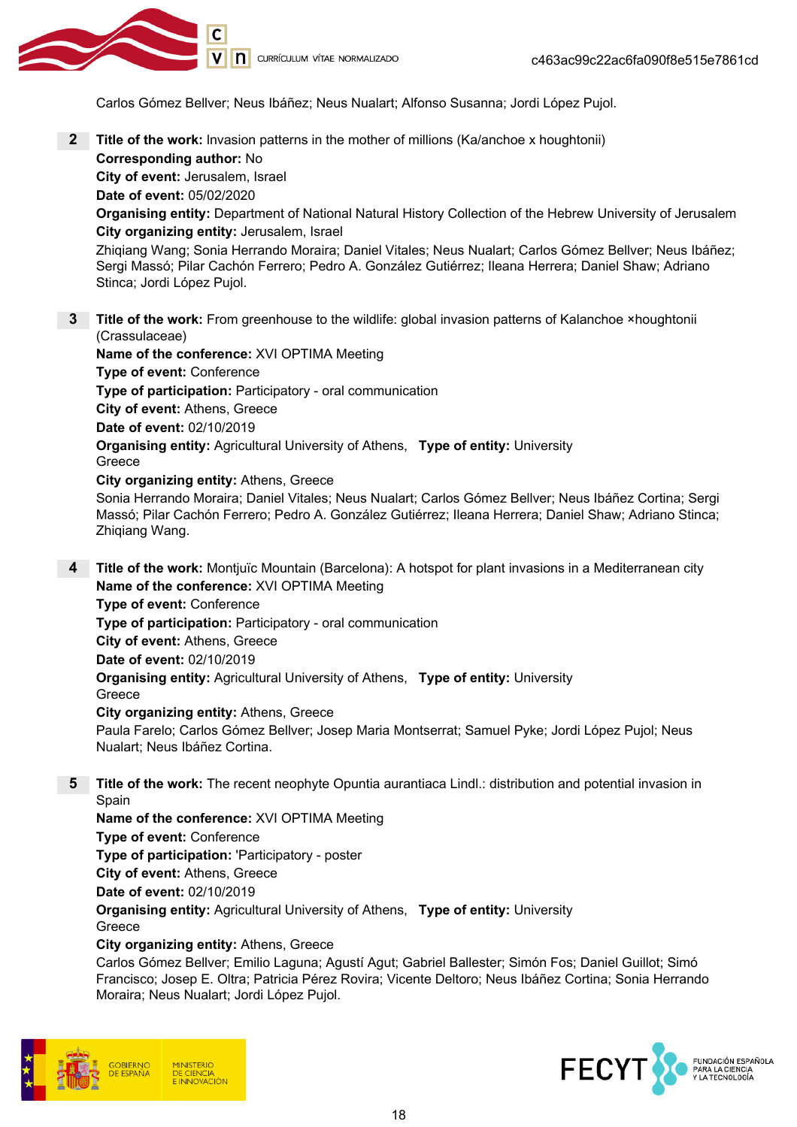

Carlos Gómez Bellver; Neus Ibáñez; Neus Nualart; Alfonso Susanna; Jordi López Pujol.

**2** Title of the work: Invasion patterns in the mother of millions (Ka/anchoe x houghtonii) Corresponding author: No

City of event: Jerusalem, Israel

Date of event: 05/02/2020

Organising entity: Department of National Natural History Collection of the Hebrew University of Jerusalem City organizing entity: Jerusalem, Israel

Zhiqiang Wang; Sonia Herrando Moraira; Daniel Vitales; Neus Nualart; Carlos Gómez Bellver; Neus Ibáñez; Sergi Massó; Pilar Cachón Ferrero; Pedro A. González Gutiérrez; Ileana Herrera; Daniel Shaw; Adriano Stinca; Jordi López Pujol.

3 Title of the work: From greenhouse to the wildlife: global invasion patterns of Kalanchoe ×houghtonii (Crassulaceae)

Name of the conference: XVI OPTIMA Meeting Type of event: Conference Type of participation: Participatory - oral communication City of event: Athens, Greece Date of event: 02/10/2019 **Organising entity:** Agricultural University of Athens, Type of entity: University Greece City organizing entity: Athens, Greece Sonia Herrando Moraira; Daniel Vitales; Neus Nualart; Carlos Gómez Bellver; Neus Ibáñez Cortina; Sergi

- Massó; Pilar Cachón Ferrero; Pedro A. González Gutiérrez; Ileana Herrera; Daniel Shaw; Adriano Stinca; Zhiqiang Wang.
- 4 Title of the work: Montjuïc Mountain (Barcelona): A hotspot for plant invasions in a Mediterranean city Name of the conference: XVI OPTIMA Meeting Type of event: Conference Type of participation: Participatory - oral communication

City of event: Athens, Greece

Date of event: 02/10/2019

**Organising entity:** Agricultural University of Athens, Type of entity: University Greece

#### City organizing entity: Athens, Greece

Paula Farelo; Carlos Gómez Bellver; Josep Maria Montserrat; Samuel Pyke; Jordi López Pujol; Neus Nualart; Neus Ibáñez Cortina.

5 Title of the work: The recent neophyte Opuntia aurantiaca Lindl.: distribution and potential invasion in Spain

Name of the conference: XVI OPTIMA Meeting Type of event: Conference Type of participation: 'Participatory - poster City of event: Athens, Greece Date of event: 02/10/2019

**Organising entity:** Agricultural University of Athens, Type of entity: University Greece

### City organizing entity: Athens, Greece

Carlos Gómez Bellver; Emilio Laguna; Agustí Agut; Gabriel Ballester; Simón Fos; Daniel Guillot; Simó Francisco; Josep E. Oltra; Patricia Pérez Rovira; Vicente Deltoro; Neus Ibáñez Cortina; Sonia Herrando Moraira; Neus Nualart; Jordi López Pujol.



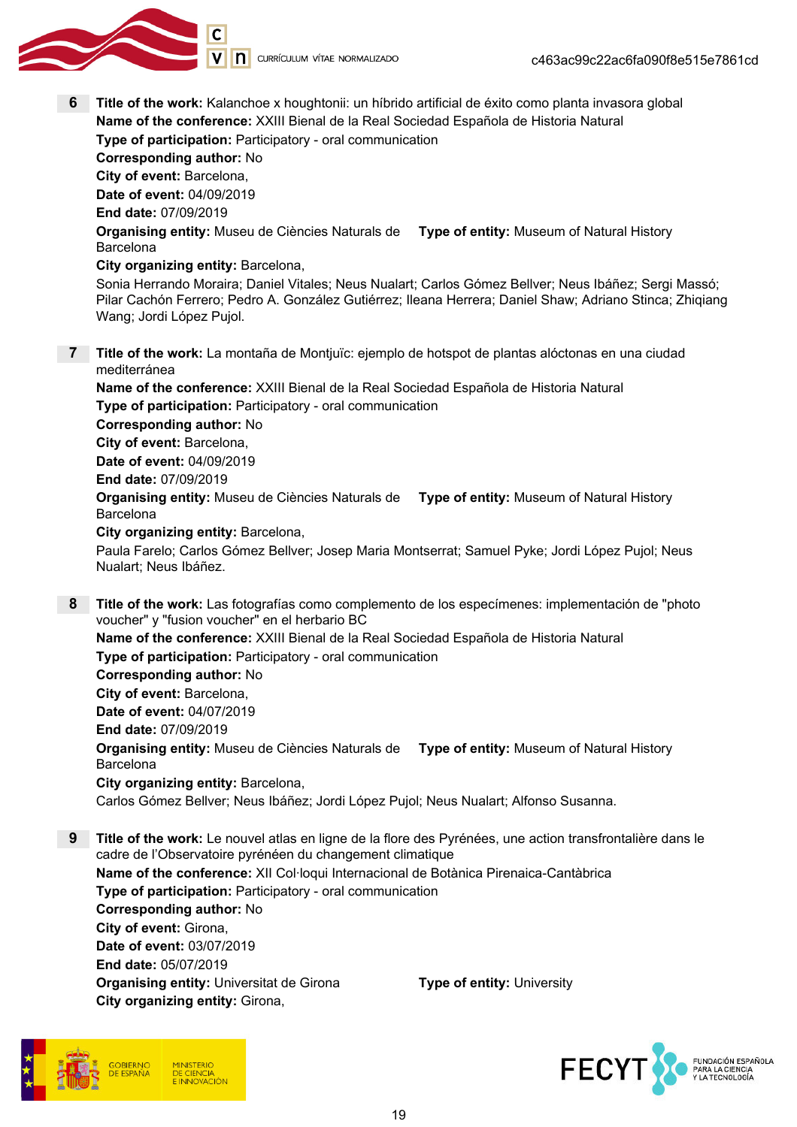

V | **n** currículum vítae normalizado

6 Title of the work: Kalanchoe x houghtonii: un híbrido artificial de éxito como planta invasora global Name of the conference: XXIII Bienal de la Real Sociedad Española de Historia Natural Type of participation: Participatory - oral communication Corresponding author: No City of event: Barcelona, Date of event: 04/09/2019 End date: 07/09/2019 **Organising entity:** Museu de Ciències Naturals de **Type of entity:** Museum of Natural History Barcelona City organizing entity: Barcelona, Sonia Herrando Moraira; Daniel Vitales; Neus Nualart; Carlos Gómez Bellver; Neus Ibáñez; Sergi Massó; Pilar Cachón Ferrero; Pedro A. González Gutiérrez; Ileana Herrera; Daniel Shaw; Adriano Stinca; Zhiqiang Wang; Jordi López Pujol. 7 Title of the work: La montaña de Montjuïc: ejemplo de hotspot de plantas alóctonas en una ciudad mediterránea Name of the conference: XXIII Bienal de la Real Sociedad Española de Historia Natural Type of participation: Participatory - oral communication Corresponding author: No City of event: Barcelona, Date of event: 04/09/2019 End date: 07/09/2019 **Organising entity:** Museu de Ciències Naturals de **Type of entity:** Museum of Natural History Barcelona City organizing entity: Barcelona, Paula Farelo; Carlos Gómez Bellver; Josep Maria Montserrat; Samuel Pyke; Jordi López Pujol; Neus Nualart; Neus Ibáñez. 8 Title of the work: Las fotografías como complemento de los especímenes: implementación de "photo" voucher" y "fusion voucher" en el herbario BC Name of the conference: XXIII Bienal de la Real Sociedad Española de Historia Natural Type of participation: Participatory - oral communication Corresponding author: No City of event: Barcelona, Date of event: 04/07/2019 End date: 07/09/2019 **Organising entity:** Museu de Ciències Naturals de **Type of entity:** Museum of Natural History Barcelona City organizing entity: Barcelona, Carlos Gómez Bellver; Neus Ibáñez; Jordi López Pujol; Neus Nualart; Alfonso Susanna. 9 Title of the work: Le nouvel atlas en ligne de la flore des Pyrénées, une action transfrontalière dans le cadre de l'Observatoire pyrénéen du changement climatique Name of the conference: XII Col·loqui Internacional de Botànica Pirenaica-Cantàbrica

Type of participation: Participatory - oral communication Corresponding author: No City of event: Girona, Date of event: 03/07/2019 End date: 05/07/2019 **Organising entity:** Universitat de Girona Type of entity: University City organizing entity: Girona,



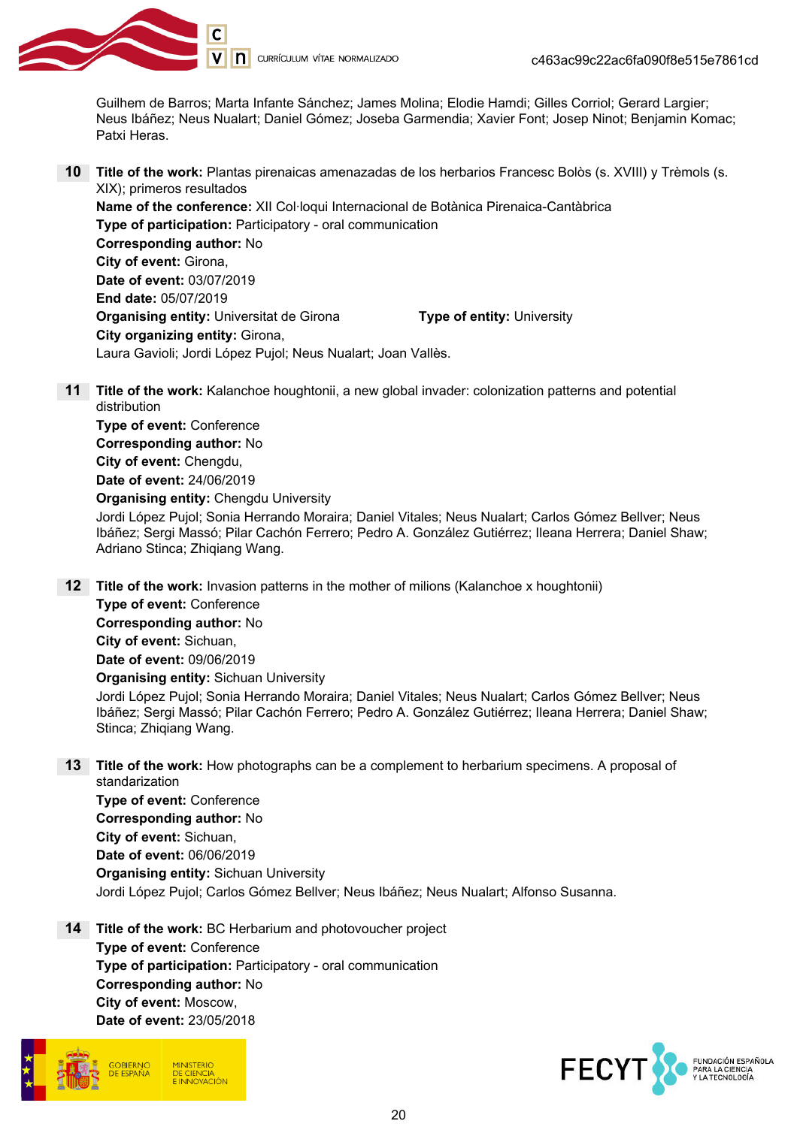

Guilhem de Barros; Marta Infante Sánchez; James Molina; Elodie Hamdi; Gilles Corriol; Gerard Largier; Neus Ibáñez; Neus Nualart; Daniel Gómez; Joseba Garmendia; Xavier Font; Josep Ninot; Benjamin Komac; Patxi Heras.

10 Title of the work: Plantas pirenaicas amenazadas de los herbarios Francesc Bolòs (s. XVIII) y Trèmols (s. XIX); primeros resultados

Name of the conference: XII Col·loqui Internacional de Botànica Pirenaica-Cantàbrica Type of participation: Participatory - oral communication Corresponding author: No City of event: Girona, Date of event: 03/07/2019 End date: 05/07/2019 **Organising entity:** Universitat de Girona Type of entity: University City organizing entity: Girona, Laura Gavioli; Jordi López Pujol; Neus Nualart; Joan Vallès.

11 Title of the work: Kalanchoe houghtonii, a new global invader: colonization patterns and potential distribution

Type of event: Conference Corresponding author: No City of event: Chengdu, Date of event: 24/06/2019 Organising entity: Chengdu University

Stinca; Zhiqiang Wang.

Jordi López Pujol; Sonia Herrando Moraira; Daniel Vitales; Neus Nualart; Carlos Gómez Bellver; Neus Ibáñez; Sergi Massó; Pilar Cachón Ferrero; Pedro A. González Gutiérrez; Ileana Herrera; Daniel Shaw; Adriano Stinca; Zhiqiang Wang.

- **12** Title of the work: Invasion patterns in the mother of milions (Kalanchoe x houghtonii) Type of event: Conference Corresponding author: No City of event: Sichuan, Date of event: 09/06/2019 Organising entity: Sichuan University Jordi López Pujol; Sonia Herrando Moraira; Daniel Vitales; Neus Nualart; Carlos Gómez Bellver; Neus Ibáñez; Sergi Massó; Pilar Cachón Ferrero; Pedro A. González Gutiérrez; Ileana Herrera; Daniel Shaw;
- **13** Title of the work: How photographs can be a complement to herbarium specimens. A proposal of standarization Type of event: Conference Corresponding author: No City of event: Sichuan, Date of event: 06/06/2019 Organising entity: Sichuan University

Jordi López Pujol; Carlos Gómez Bellver; Neus Ibáñez; Neus Nualart; Alfonso Susanna.

14 Title of the work: BC Herbarium and photovoucher project Type of event: Conference Type of participation: Participatory - oral communication Corresponding author: No City of event: Moscow, Date of event: 23/05/2018

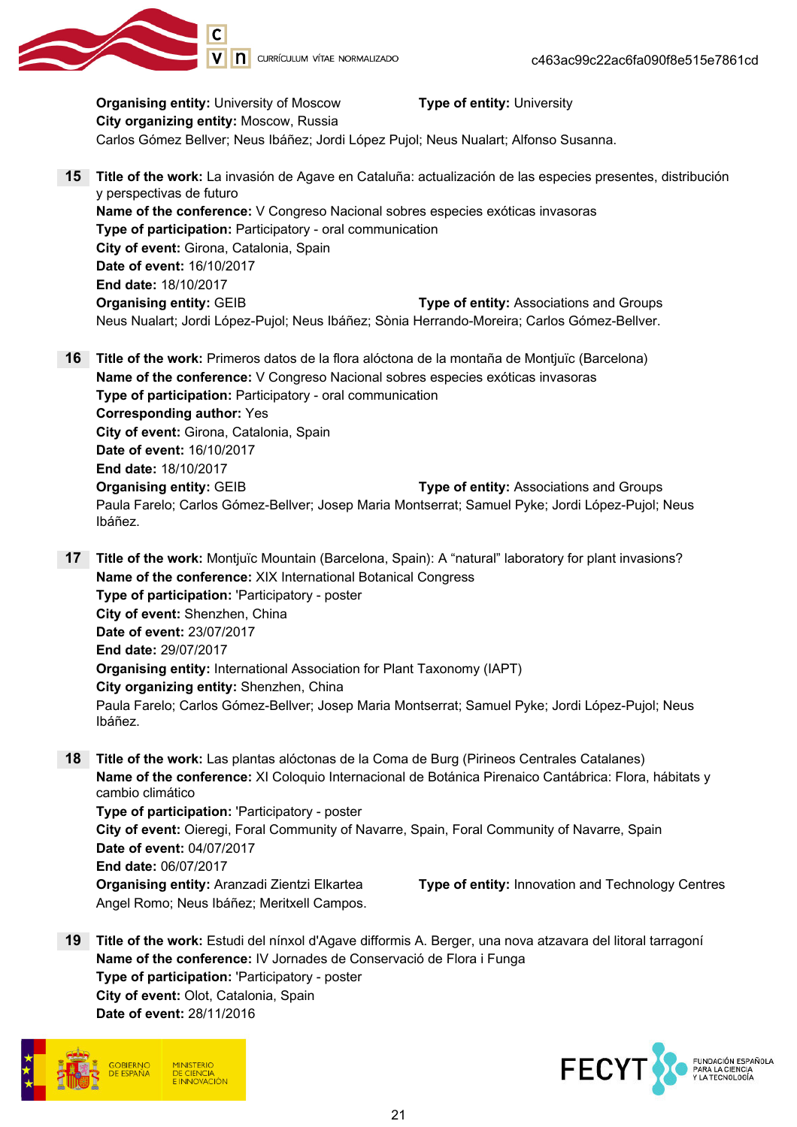

**Organising entity:** University of Moscow Type of entity: University City organizing entity: Moscow, Russia Carlos Gómez Bellver; Neus Ibáñez; Jordi López Pujol; Neus Nualart; Alfonso Susanna. 15 Title of the work: La invasión de Agave en Cataluña: actualización de las especies presentes, distribución y perspectivas de futuro Name of the conference: V Congreso Nacional sobres especies exóticas invasoras Type of participation: Participatory - oral communication City of event: Girona, Catalonia, Spain Date of event: 16/10/2017 End date: 18/10/2017 Organising entity: GEIB Type of entity: Associations and Groups Neus Nualart; Jordi López-Pujol; Neus Ibáñez; Sònia Herrando-Moreira; Carlos Gómez-Bellver. 16 Title of the work: Primeros datos de la flora alóctona de la montaña de Montjuïc (Barcelona) Name of the conference: V Congreso Nacional sobres especies exóticas invasoras Type of participation: Participatory - oral communication Corresponding author: Yes City of event: Girona, Catalonia, Spain Date of event: 16/10/2017 End date: 18/10/2017 Organising entity: GEIB Type of entity: Associations and Groups Paula Farelo; Carlos Gómez-Bellver; Josep Maria Montserrat; Samuel Pyke; Jordi López-Pujol; Neus Ibáñez. 17 Title of the work: Montjuïc Mountain (Barcelona, Spain): A "natural" laboratory for plant invasions? Name of the conference: XIX International Botanical Congress

Type of participation: 'Participatory - poster City of event: Shenzhen, China Date of event: 23/07/2017 End date: 29/07/2017 Organising entity: International Association for Plant Taxonomy (IAPT) City organizing entity: Shenzhen, China Paula Farelo; Carlos Gómez-Bellver; Josep Maria Montserrat; Samuel Pyke; Jordi López-Pujol; Neus Ibáñez.

18 Title of the work: Las plantas alóctonas de la Coma de Burg (Pirineos Centrales Catalanes) Name of the conference: XI Coloquio Internacional de Botánica Pirenaico Cantábrica: Flora, hábitats y cambio climático Type of participation: 'Participatory - poster City of event: Oieregi, Foral Community of Navarre, Spain, Foral Community of Navarre, Spain Date of event: 04/07/2017

End date: 06/07/2017 Angel Romo; Neus Ibáñez; Meritxell Campos.

Organising entity: Aranzadi Zientzi Elkartea Type of entity: Innovation and Technology Centres

19 Title of the work: Estudi del nínxol d'Agave difformis A. Berger, una nova atzavara del litoral tarragoní Name of the conference: IV Jornades de Conservació de Flora i Funga Type of participation: 'Participatory - poster City of event: Olot, Catalonia, Spain Date of event: 28/11/2016



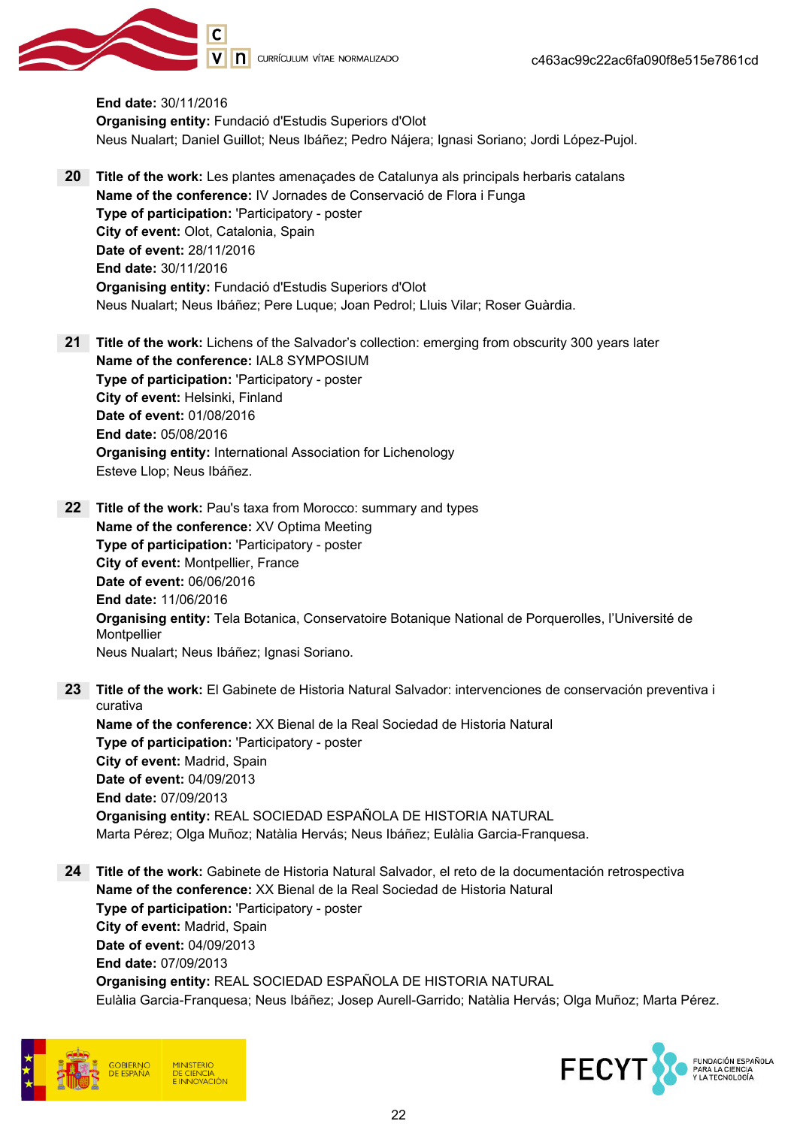

V | **n** currículum vítae normalizado

End date: 30/11/2016 Organising entity: Fundació d'Estudis Superiors d'Olot Neus Nualart; Daniel Guillot; Neus Ibáñez; Pedro Nájera; Ignasi Soriano; Jordi López-Pujol.

- 20 Title of the work: Les plantes amenaçades de Catalunya als principals herbaris catalans Name of the conference: IV Jornades de Conservació de Flora i Funga Type of participation: 'Participatory - poster City of event: Olot, Catalonia, Spain Date of event: 28/11/2016 End date: 30/11/2016 Organising entity: Fundació d'Estudis Superiors d'Olot Neus Nualart; Neus Ibáñez; Pere Luque; Joan Pedrol; Lluis Vilar; Roser Guàrdia.
- 21 Title of the work: Lichens of the Salvador's collection: emerging from obscurity 300 years later Name of the conference: IAL8 SYMPOSIUM Type of participation: 'Participatory - poster City of event: Helsinki, Finland Date of event: 01/08/2016 End date: 05/08/2016 Organising entity: International Association for Lichenology Esteve Llop; Neus Ibáñez.
- 22 Title of the work: Pau's taxa from Morocco: summary and types Name of the conference: XV Optima Meeting Type of participation: 'Participatory - poster City of event: Montpellier, France Date of event: 06/06/2016 End date: 11/06/2016 Organising entity: Tela Botanica, Conservatoire Botanique National de Porquerolles, l'Université de Montpellier Neus Nualart; Neus Ibáñez; Ignasi Soriano.
- 23 Title of the work: El Gabinete de Historia Natural Salvador: intervenciones de conservación preventiva i curativa Name of the conference: XX Bienal de la Real Sociedad de Historia Natural Type of participation: 'Participatory - poster City of event: Madrid, Spain Date of event: 04/09/2013 End date: 07/09/2013 Organising entity: REAL SOCIEDAD ESPAÑOLA DE HISTORIA NATURAL
- 24 Title of the work: Gabinete de Historia Natural Salvador, el reto de la documentación retrospectiva Name of the conference: XX Bienal de la Real Sociedad de Historia Natural Type of participation: 'Participatory - poster City of event: Madrid, Spain Date of event: 04/09/2013 End date: 07/09/2013 Organising entity: REAL SOCIEDAD ESPAÑOLA DE HISTORIA NATURAL Eulàlia Garcia-Franquesa; Neus Ibáñez; Josep Aurell-Garrido; Natàlia Hervás; Olga Muñoz; Marta Pérez.

Marta Pérez; Olga Muñoz; Natàlia Hervás; Neus Ibáñez; Eulàlia Garcia-Franquesa.



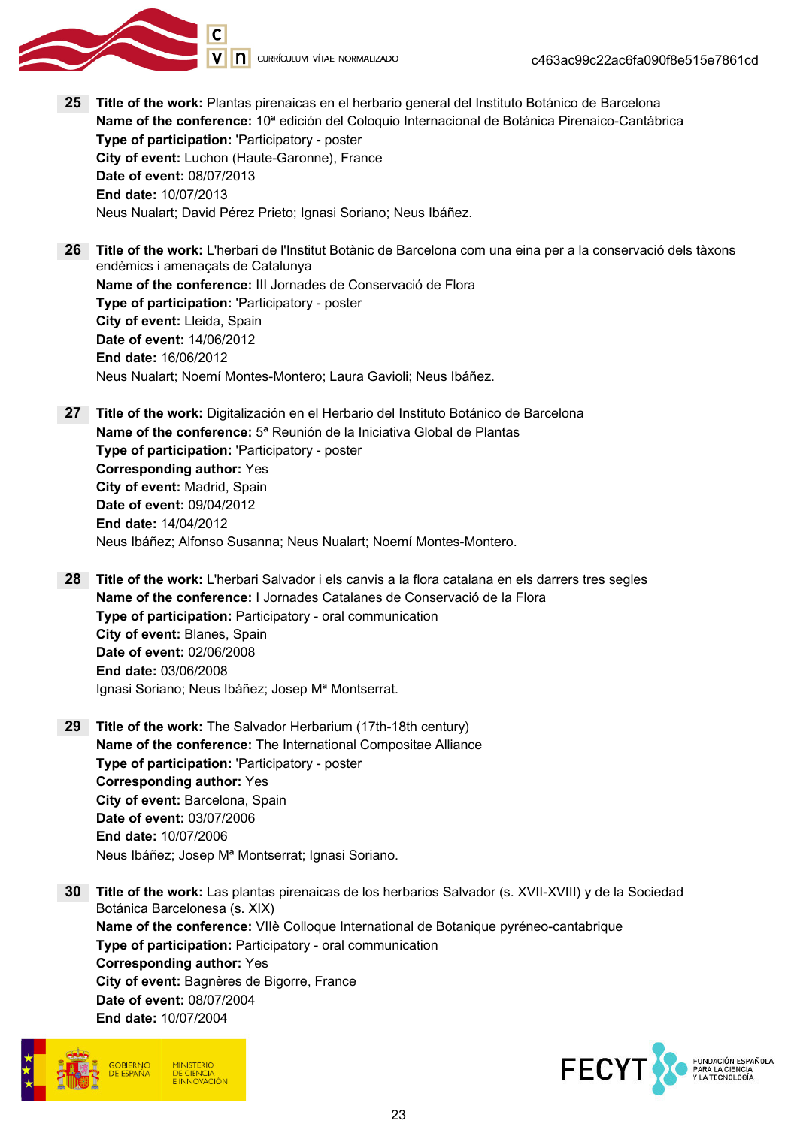

- 25 Title of the work: Plantas pirenaicas en el herbario general del Instituto Botánico de Barcelona Name of the conference: 10<sup>ª</sup> edición del Coloquio Internacional de Botánica Pirenaico-Cantábrica Type of participation: 'Participatory - poster City of event: Luchon (Haute-Garonne), France Date of event: 08/07/2013 End date: 10/07/2013 Neus Nualart; David Pérez Prieto; Ignasi Soriano; Neus Ibáñez.
- 26 Title of the work: L'herbari de l'Institut Botànic de Barcelona com una eina per a la conservació dels tàxons endèmics i amenaçats de Catalunya Name of the conference: III Jornades de Conservació de Flora Type of participation: 'Participatory - poster City of event: Lleida, Spain Date of event: 14/06/2012 End date: 16/06/2012 Neus Nualart; Noemí Montes-Montero; Laura Gavioli; Neus Ibáñez.

27 Title of the work: Digitalización en el Herbario del Instituto Botánico de Barcelona Name of the conference: 5ª Reunión de la Iniciativa Global de Plantas Type of participation: 'Participatory - poster Corresponding author: Yes City of event: Madrid, Spain Date of event: 09/04/2012 End date: 14/04/2012 Neus Ibáñez; Alfonso Susanna; Neus Nualart; Noemí Montes-Montero.

- 28 Title of the work: L'herbari Salvador i els canvis a la flora catalana en els darrers tres segles Name of the conference: I Jornades Catalanes de Conservació de la Flora Type of participation: Participatory - oral communication City of event: Blanes, Spain Date of event: 02/06/2008 End date: 03/06/2008 Ignasi Soriano; Neus Ibáñez; Josep Mª Montserrat.
- 29 Title of the work: The Salvador Herbarium (17th-18th century) Name of the conference: The International Compositae Alliance Type of participation: 'Participatory - poster Corresponding author: Yes City of event: Barcelona, Spain Date of event: 03/07/2006 End date: 10/07/2006 Neus Ibáñez; Josep Mª Montserrat; Ignasi Soriano.
- 30 Title of the work: Las plantas pirenaicas de los herbarios Salvador (s. XVII-XVIII) y de la Sociedad Botánica Barcelonesa (s. XIX) Name of the conference: VIIè Colloque International de Botanique pyréneo-cantabrique Type of participation: Participatory - oral communication Corresponding author: Yes City of event: Bagnères de Bigorre, France Date of event: 08/07/2004 End date: 10/07/2004



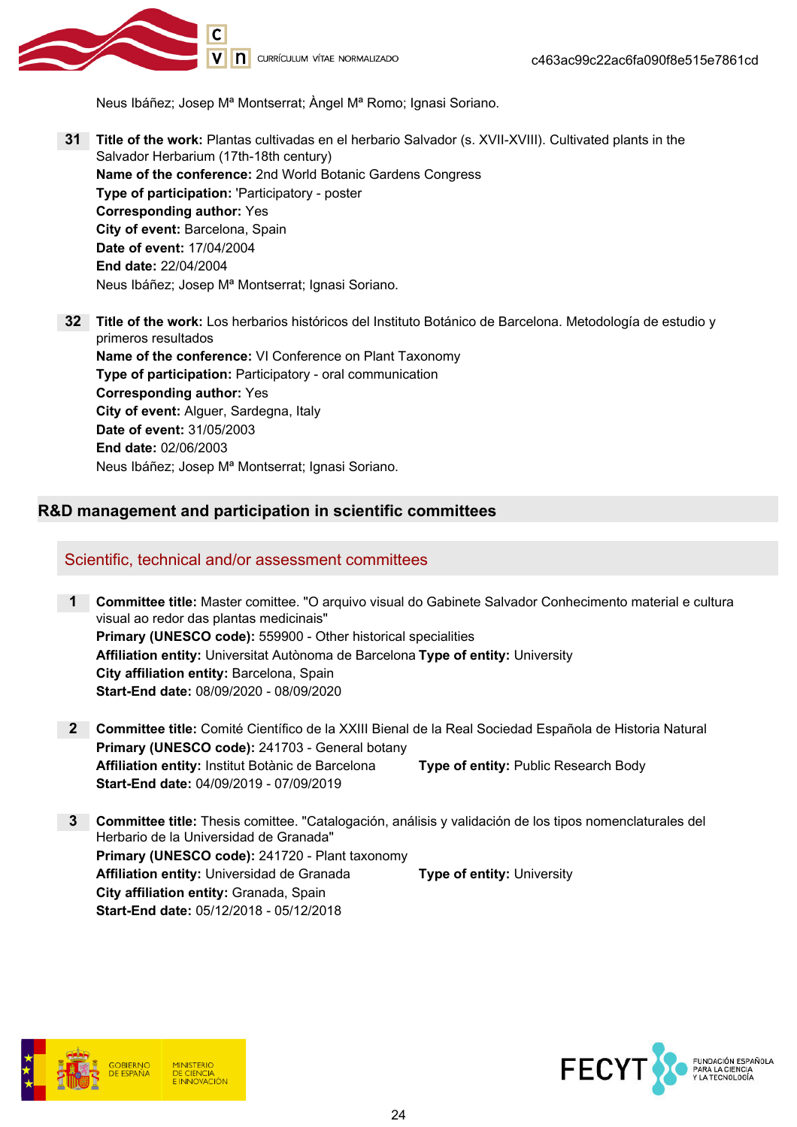

Neus Ibáñez; Josep Mª Montserrat; Àngel Mª Romo; Ignasi Soriano.

- 31 Title of the work: Plantas cultivadas en el herbario Salvador (s. XVII-XVIII). Cultivated plants in the Salvador Herbarium (17th-18th century) Name of the conference: 2nd World Botanic Gardens Congress Type of participation: 'Participatory - poster Corresponding author: Yes City of event: Barcelona, Spain Date of event: 17/04/2004 End date: 22/04/2004 Neus Ibáñez; Josep Mª Montserrat; Ignasi Soriano.
- 32 Title of the work: Los herbarios históricos del Instituto Botánico de Barcelona. Metodología de estudio y primeros resultados Name of the conference: VI Conference on Plant Taxonomy Type of participation: Participatory - oral communication Corresponding author: Yes City of event: Alguer, Sardegna, Italy Date of event: 31/05/2003 End date: 02/06/2003 Neus Ibáñez; Josep Mª Montserrat; Ignasi Soriano.

### R&D management and participation in scientific committees

### Scientific, technical and/or assessment committees

- 1 Committee title: Master comittee. "O arquivo visual do Gabinete Salvador Conhecimento material e cultura visual ao redor das plantas medicinais" Primary (UNESCO code): 559900 - Other historical specialities Affiliation entity: Universitat Autònoma de Barcelona Type of entity: University City affiliation entity: Barcelona, Spain Start-End date: 08/09/2020 - 08/09/2020
- 2 Committee title: Comité Científico de la XXIII Bienal de la Real Sociedad Española de Historia Natural Primary (UNESCO code): 241703 - General botany Affiliation entity: Institut Botànic de Barcelona Type of entity: Public Research Body Start-End date: 04/09/2019 - 07/09/2019
- 3 Committee title: Thesis comittee. "Catalogación, análisis y validación de los tipos nomenclaturales del Herbario de la Universidad de Granada" Primary (UNESCO code): 241720 - Plant taxonomy Affiliation entity: Universidad de Granada Type of entity: University City affiliation entity: Granada, Spain Start-End date: 05/12/2018 - 05/12/2018